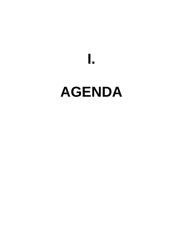# **AGENDA**

**I.**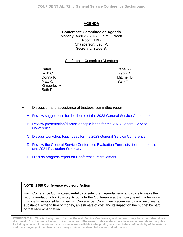## **AGENDA**

<span id="page-1-0"></span>**Conference Committee on Agenda** Monday, April 25, 2022, 9 a.m. – Noon Room: TBD Chairperson: Beth P. Secretary: Steve S.

#### Conference Committee Members

Panel 71 Panel 72 Ruth C. Donna K. Matt K. Kimberley M. Beth P.

 Bryon B. Mitchell B. Sally T.

- Discussion and acceptance of trustees' committee report.
	- A. [Review suggestions for the theme of the 2023 General Service Conference.](#page-2-0)
	- B. [Review presentation/discussion topic ideas for the 2023](#page-7-0) General Service Conference.
	- C. [Discuss workshop topic ideas for the 2023 General Service Conference.](#page-18-0)
	- D. [Review the General Service Conference Evaluation Form, distribution process](#page-24-0) and 2021 Evaluation Summary.
	- E. Discuss progress report [on Conference improvement.](#page-81-0)

#### **NOTE: 1989 Conference Advisory Action**

Each Conference Committee carefully consider their agenda items and strive to make their recommendations for Advisory Actions to the Conference at the policy level. To be more financially responsible, when a Conference Committee recommendation involves a substantial expenditure of money, an estimate of cost and its impact on the budget be part of that recommendation.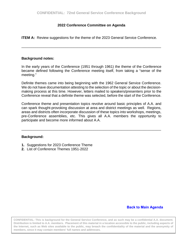#### **2022 Conference Committee on Agenda**

<span id="page-2-0"></span>**ITEM A:** Review suggestions for the theme of the 2023 General Service Conference.

\_\_\_\_\_\_\_\_\_\_\_\_\_\_\_\_\_\_\_\_\_\_\_\_\_\_\_\_\_\_\_\_\_\_\_\_\_\_\_\_\_\_\_\_\_\_\_\_\_\_\_\_\_\_\_\_\_\_\_\_\_\_\_\_\_\_\_\_\_\_

#### **Background notes:**

In the early years of the Conference (1951 through 1961) the theme of the Conference became defined following the Conference meeting itself, from taking a "sense of the meeting."

Definite themes came into being beginning with the 1962 General Service Conference. We do not have documentation attesting to the selection of the topic or about the decisionmaking process at this time. However, letters mailed to speakers/presenters prior to the Conference reveal that a definite theme was selected, before the start of the Conference.

Conference theme and presentation topics revolve around basic principles of A.A. and can spark thought-provoking discussion at area and district meetings as well. Regions, areas and districts often incorporate discussion of these topics into workshops, meetings, pre-Conference assemblies, etc. This gives all A.A. members the opportunity to participate and become more informed about A.A.

\_\_\_\_\_\_\_\_\_\_\_\_\_\_\_\_\_\_\_\_\_\_\_\_\_\_\_\_\_\_\_\_\_\_\_\_\_\_\_\_\_\_\_\_\_\_\_\_\_\_\_\_\_\_\_\_\_\_\_\_\_\_\_\_\_\_\_\_\_\_

#### **Background:**

- **1.** Suggestions for 2023 Conference Theme
- **2.** List of Conference Themes 1951-2022

#### **[Back to Main Agenda](#page-1-0)**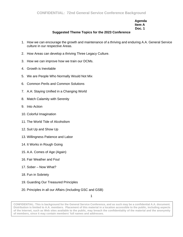#### **Agenda Item A Doc. 1**

#### **Suggested Theme Topics for the 2023 Conference**

- 1. How we can encourage the growth and maintenance of a thriving and enduring A.A. General Service culture in our respective Areas.
- 2. How Areas can develop a thriving Three Legacy Culture.
- 3. How we can improve how we train our DCMs.
- 4. Growth is Inevitable
- 5. We are People Who Normally Would Not Mix
- 6. Common Perils and Common Solutions
- 7. A.A: Staying Unified in a Changing World
- 8. Match Calamity with Serenity
- 9. Into Action
- 10. Colorful Imagination
- 11. The World Tide of Alcoholism
- 12. Suit Up and Show Up
- 13. Willingness Patience and Labor
- 14. It Works in Rough Going
- 15. A.A. Comes of Age (Again)
- 16. Fair Weather and Foul
- 17. Sober Now What?
- 18. Fun in Sobriety
- 19. Guarding Our Treasured Principles
- 20. Principles in all our Affairs (Including GSC and GSB)

1

**CONFIDENTIAL: This is background for the General Service Conference, and as such may be a confidential A.A. document. Distribution is limited to A.A. members. Placement of this material in a location accessible to the public, including aspects of the Internet, such as Web sites available to the public, may breach the confidentiality of the material and the anonymity of members, since it may contain members' full names and addresses.**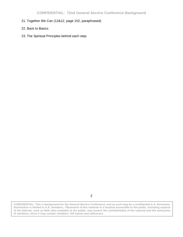- 21. Together We Can (12&12, page 152, paraphrased)
- 22. Back to Basics
- 23. The Spiritual Principles behind each step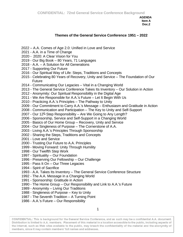#### **Themes of the General Service Conference 1951 – 2022**

- A.A. Comes of Age 2.0: Unified in Love and Service
- 2021 A.A. in a Time of Change
- 2020: A Clear Vision for You
- 2019 Our Big Book 80 Years, 71 Languages
- A.A. A Solution for All Generations
- Supporting Our Future
- Our Spiritual Way of Life: Steps, Traditions and Concepts
- Celebrating 80 Years of Recovery, Unity and Service The Foundation of Our Future
- 2014 Communicating Our Legacies Vital in a Changing World
- The General Service Conference Takes Its Inventory Our Solution in Action
- Anonymity: Our Spiritual Responsibility in the Digital Age
- We Are Responsible for A.A.'s Future Let It Begin With Us
- Practicing A.A.'s Principles The Pathway to Unity
- Our Commitment to Carry A.A.'s Message Enthusiasm and Gratitude in Action
- Communication and Participation The Key to Unity and Self-Support
- 2007 Our  $12<sup>th</sup>$  Step Responsibility Are We Going to Any Length?
- Sponsorship, Service and Self-Support in a Changing World
- 2005 Basics of Our Home Group Recovery, Unity and Service
- Our Singleness of Purpose The Cornerstone of A.A.
- Living A.A.'s Principles Through Sponsorship
- Sharing the Steps, Traditions and Concepts
- 2001 Love and Service
- Trusting Our Future to A.A. Principles
- Moving Forward: Unity Through Humility
- Our Twelfth Step Work
- Spirituality Our Foundation
- 1996 Preserving Our Fellowship Our Challenge
- Pass It On Our Three Legacies
- 1994 Spirit of Sacrifice
- A.A. Takes Its Inventory The General Service Conference Structure
- The A.A. Message in a Changing World
- Sponsorship: Gratitude in Action
- The Home Group Our Responsibility and Link to A.A.'s Future
- Anonymity Living Our Traditions
- Singleness of Purpose Key to Unity
- The Seventh Tradition A Turning Point
- A.A.'s Future Our Responsibility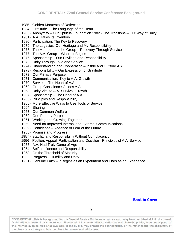- Golden Moments of Reflection
- Gratitude The Language of the Heart
- Anonymity Our Spiritual Foundation 1982 The Traditions Our Way of Unity
- A.A. Takes Its Inventory
- Participation: The Key to Recovery
- 1979 The Legacies: Our Heritage and My Responsibility
- 1978 The Member and the Group Recovery Through Service
- The A.A. Group Where It Begins
- 1976 Sponsorship Our Privilege and Responsibility
- 1975 Unity Through Love and Service
- Understanding and Cooperation Inside and Outside A.A.
- Responsibility Our Expression of Gratitude
- Our Primary Purpose
- Communication: Key to A.A. Growth
- Service The Heart of A.A.
- Group Conscience Guides A.A.
- Unity Vital to A.A. Survival, Growth
- Sponsorship The Hand of A.A.
- 1966 Principles and Responsibility
- More Effective Ways to Use Tools of Service
- 1964 Sharing
- Our Common Welfare
- One Primary Purpose
- Working and Growing Together
- Need for Improved Internal and External Communications
- Confidence Absence of Fear of the Future
- 1958 Promise and Progress
- Stability and Responsibility Without Complacency
- Petition, Appeal, Participation and Decision Principles of A.A. Service
- A.A. Had Truly Come of Age
- Self-confidence and Responsibility
- On the Threshold of Maturity
- 1952 Progress Humility and Unity
- 1951 Genuine Faith It Begins as an Experiment and Ends as an Experience

#### **[Back to Cover](#page-2-0)**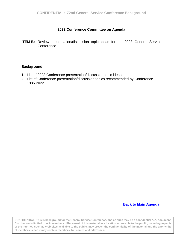#### **2022 Conference Committee on Agenda**

<span id="page-7-0"></span>**ITEM B:** Review presentation/discussion topic ideas for the 2023 General Service Conference.

\_\_\_\_\_\_\_\_\_\_\_\_\_\_\_\_\_\_\_\_\_\_\_\_\_\_\_\_\_\_\_\_\_\_\_\_\_\_\_\_\_\_\_\_\_\_\_\_\_\_\_\_\_\_\_\_\_\_\_\_\_\_\_\_\_\_\_\_\_\_

#### **Background:**

- **1.** List of 2023 Conference presentation/discussion topic ideas
- **2.** List of Conference presentation/discussion topics recommended by Conference 1985-2022

#### **[Back to Main Agenda](#page-1-0)**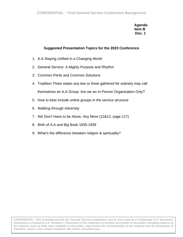**Agenda Item B Doc. 1**

## **Suggested Presentation Topics for the 2023 Conference**

- 1. A.A Staying Unified in a Changing World
- 2. General Service: A Mighty Purpose and Rhythm
- 3. Common Perils and Common Solutions
- 4. Tradition Three states any two or three gathered for sobriety may call themselves an A.A Group: Are we an In-Person Organization Only?
- 5. How to best include online groups in the service structure
- 6. Walking through Adversity
- 7. We Don't Have to be Alone, Any More (12&12, page 117)
- 8. Birth of A.A and Big Book 1935-1939
- 9. What's the difference between religion & spirituality?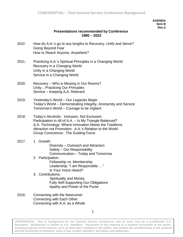#### **AGENDA Item B Doc.2**

#### **Presentations recommended by Conference 1985 – 2022**

- 2022: How do A.A.'s go to any lengths to Recovery, Unify and Serve? Going Beyond Fear How to Reach Anyone, Anywhere?
- 2021: Practicing A.A.'s Spiritual Principles in a Changing World: Recovery in a Changing World Unity in a Changing World Service in a Changing World
- 2020: Recovery Who is Missing in Our Rooms? Unity – Practicing Our Principles Service – Keeping A.A. Relevant
- 2019: Yesterday's World Our Legacies Begin Today's World – Demonstrating Integrity, Anonymity and Service Tomorrow's World – Courage to be Vigilant
- 2018: Today's Alcoholic: Inclusion, Not Exclusion Participation in All of A.A. – Is My Triangle Balanced? A.A. Technology: Where Innovation Meets the Traditions Attraction not Promotion: A.A.'s Relation to the World Group Conscience: The Guiding Force
- 2017: 1. Growth: Diversity – Outreach and Attraction Safety – Our Responsibility Communication – Today and Tomorrow
	- 2. Participation: Fellowship vs. Membership Leadership: "I am Responsible. . ." Is Your Voice Heard?
	- 3. Contributions: Spirituality and Money Fully Self-Supporting Our Obligations Apathy and Power of the Purse
- 2016: Connecting with the Newcomer Connecting with Each Other Connecting with A.A. as a Whole

1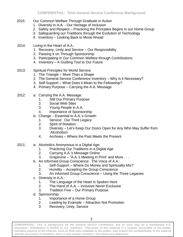- 2015: Our Common Welfare Through Gratitude in Action
	- 1. Diversity in A.A. Our Heritage of Inclusion
	- 2. Safety and Respect Practicing the Principles Begins in our Home Group
	- 3. Safeguarding our Traditions through the Evolution of Technology
	- 4. Inventory Looking Back to Move Ahead
- 2014: Living in the Heart of A.A.:
	- 1. Recovery, Unity and Service Our Responsibility
	- 2. Passing It on Through Sponsorship
	- 3. Participating in Our Common Welfare through Contributions
	- 4. Inventory A Guiding Tool to Our Future
- 2013: Spiritual Principles for World Service:
	- 1. The Triangle More Than a Shape
	- 2. The General Service Conference Inventory Why is it Necessary?
	- 3. Self-Support What Does it Mean to the Fellowship?
	- 4. Primary Purpose Carrying the A.A. Message
- 2012: a: Carrying the A.A. Message:
	- 1. Still Our Primary Purpose
	- 2. Social Web Sites
	- 3. Young People in A.A.
	- 4. Importance of Sponsorship
	- b: Change Essential to A.A.'s Growth:
		- 1. Service: Our Third Legacy
		- 2. Spirit of Rotation
		- 3. Diversity Let's Keep Our Doors Open for Any Who May Suffer from Alcoholism
		- 4. Archives Where the Past Meets the Present
- 2011: a: Alcoholics Anonymous in a Digital Age:
	- 1. Practicing Our Traditions in a Digital Age
	- 2. Carrying A.A.'s Message Online
	- 3. Grapevine "A.A.'s Meeting in Print" and More . . .
	- b. An Informed Group Conscience: The Voice of A.A.:
		- 1. Self-Support Where Do Money and Spirituality Mix?
		- 2. Humility Accepting the Group Conscience
		- 3. An Informed Group Conscience Using the Three Legacies
	- c. Diversity in A.A.:
		- 1. The Language of the Heart is Spoken Here
		- 2. The Hand of A.A. Inclusive Never Exclusive
		- 3. Tradition Five Our Primary Purpose
	- d. Sponsorship:
		- 1. Importance of a Home Group
		- 2. Leading by Example Attraction Not Promotion
		- 3 Recovery, Unity, Service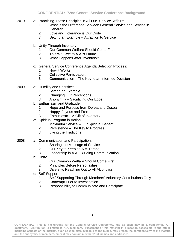- 2010: a: Practicing These Principles in All Our "Service" Affairs:
	- 1. What is the Difference Between General Service and Service in General?
	- 2. Love and Tolerance is Our Code
	- 3. Setting an Example Attraction to Service
	- b: Unity Through Inventory:
		- 1. Our Common Welfare Should Come First
		- 2. This We Owe to A.A.'s Future
		- 3. What Happens After Inventory?
	- c: General Service Conference Agenda Selection Process:
		- 1. How it Works.
		- 2. Collective Participation.
		- 3. Communication The Key to an Informed Decision
- 2009: a: Humility and Sacrifice:
	- 1. Setting an Example
	- 2. Changing Our Perceptions
	- 3. Anonymity Sacrificing Our Egos
	- b: Enthusiasm and Gratitude:
		- 1. Hope and Purpose from Defeat and Despair
		- 2. Happy, Joyous and Free
		- 3. Enthusiasm A Gift of Inventory
	- c: Spiritual Program in Action:
		- 1. Maximum Service Our Spiritual Benefit
		- 2. Persistence The Key to Progress
		- 3. Living the Traditions
- 2008: a. Communication and Participation:
	- 1. Sharing the Message of Service
	- 2. Our Key to Keeping A.A. Strong
	- 3. Leadership in A.A.: Building Communication
	- b: Unity
		- 1. Our Common Welfare Should Come First
		- 2. Principles Before Personalities
		- 3. Diversity: Reaching Out to All Alcoholics
	- c: Self-Support:
		- 1. Self-Supporting Through Members' Voluntary Contributions Only
		- 2. Contempt Prior to Investigation
		- 3. Responsibility to Communicate and Participate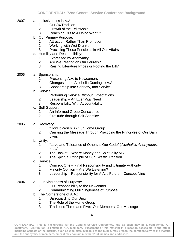- 2007: a. Inclusiveness in A.A.:
	- 1. Our 3<sup>rd</sup> Tradition
	- 2. Growth of the Fellowship
	- 3. Reaching Out to All Who Want It
	- b. Our Primary Purpose:
		- 1. Attraction Rather Than Promotion
		- 2. Working with Wet Drunks
		- 3. Practicing These Principles in All Our Affairs
	- c. Humility and Responsibility:
		- 1. Expressed by Anonymity
		- 2. Are We Resting on Our Laurels?
		- 3. Raising Literature Prices or Footing the Bill?
- 2006: a. Sponsorship:
	- 1. Presenting A.A. to Newcomers
	- 2. Changes in the Alcoholic Coming to A.A.
	- 3. Sponsorship Into Sobriety, Into Service
	- b. Service:
		- 1. Performing Service Without Expectations
		- 2. Leadership An Ever Vital Need
		- 3. Responsibility With Accountability
	- c. Self-Support:
		- 1. An Informed Group Conscience
		- 2. Gratitude through Self-Sacrifice
- 2005: a. Recovery:
	- 1. "How It Works" in Our Home Group
	- 2. Carrying the Message Through Practicing the Principles of Our Daily Lives
	- b. Unity:
		- 1. "Love and Tolerance of Others is Our Code" (*Alcoholics Anonymous*, p. 84)
		- 2. The Basket Where Money and Spirituality Mix
		- 3. The Spiritual Principle of Our Twelfth Tradition
	- c. Service:
		- 1. Concept One Final Responsibility and Ultimate Authority
		- 2. Minority Opinion Are We Listening?
		- 3. Leadership Responsibility for A.A.'s Future Concept Nine
- 2004: a. Our Singleness of Purpose:
	- 1. Our Responsibility to the Newcomer
	- 2. Communicating Our Singleness of Purpose
	- b. The Cornerstone of A.A.:
		- 1. Safeguarding Our Unity
		- 2. The Role of the Home Group
		- 3. Traditions Three and Five: Our Members, Our Message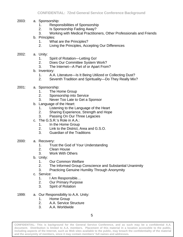- 2003: a. Sponsorship:
	- 1. Responsibilities of Sponsorship
	- 2. Is Sponsorship Fading Away?
	- 3. Working with Medical Practitioners, Other Professionals and Friends
	- b. Principles:
		- 1. What are the Principles?
		- 2. Living the Principles, Accepting Our Differences
- 2002: a. Unity:
	- 1. Spirit of Rotation—Letting Go!
	- 2. Does Our Committee System Work?
	- 3. The Internet—A Part of or Apart From?
	- b. Inventory:
		- 1. A.A. Literature—Is It Being Utilized or Collecting Dust?
		- 2. Seventh Tradition and Spirituality—Do They Really Mix?
- 2001: a. Sponsorship:
	- 1. The Home Group
	- 2. Sponsorship into Service
	- 3. Never Too Late to Get a Sponsor
	- b. Language of the Heart:
		- 1. Listening to the Language of the Heart
		- 2. Sharing Experience, Strength and Hope
		- 3. Passing On Our Three Legacies
	- c. The G.S.R.'s Role in A.A.:
		- 1. In the Home Group
		- 2. Link to the District, Area and G.S.O.
		- 3. Guardian of the Traditions
- 2000: a. Recovery:
	- 1. Trust the God of Your Understanding
	- 2. Clean House
	- 3. Work With Others
	- b. Unity:
		- 1. Our Common Welfare<br>2. The Informed Group C
			- The Informed Group Conscience and Substantial Unanimity
		- 3. Practicing Genuine Humility Through Anonymity
	- c. Service:
		- 1. I Am Responsible…
		- 2. Our Primary Purpose
		- 3. Spirit of Rotation
- 1999: a. Our Responsibility to A.A. Unity:
	- 1. Home Group
	- 2. A.A. Service Structure
	- 3. A.A. Worldwide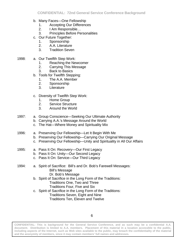- b. Many Faces—One Fellowship
	- 1. Accepting Our Differences
	- 2. I Am Responsible…
	- 3. Principles Before Personalities
- c. Our Future Together:
	- 1. Sponsorship
	- 2. A.A. Literature
	- 3. Tradition Seven
- 1998: a. Our Twelfth Step Work:
	- 1. Reaching the Newcomer
	- 2. Carrying This Message
	- 3. Back to Basics
	- b. Tools for Twelfth Stepping:
		- 1. The A.A. Member
		- 2. Sponsorship
		- 3. Literature
	- c. Diversity of Twelfth Step Work:
		- 1. Home Group
		- 2. Service Structure
		- 3. Around the World
- 1997: a. Group Conscience—Seeking Our Ultimate Authority
	- b. Carrying A.A.'s Message Around the World
	- c. The Hat—Where Money and Spirituality Mix
- 1996: a. Preserving Our Fellowship—Let It Begin With Me
	- b. Preserving Our Fellowship—Carrying Our Original Message
	- c. Preserving Our Fellowship—Unity and Spirituality in All Our Affairs
- 1995: a. Pass It On: Recovery—Our First Legacy
	- b. Pass It On: Unity—Our Second Legacy
	- c. Pass It On: Service—Our Third Legacy
- 1994: a. Spirit of Sacrifice: Bill's and Dr. Bob's Farewell Messages: Bill's Message Dr. Bob's Message
	- b. Spirit of Sacrifice in the Long Form of the Traditions: Traditions One, Two and Three Traditions Four, Five and Six
	- c. Spirit of Sacrifice in the Long Form of the Traditions: Traditions Seven, Eight and Nine Traditions Ten, Eleven and Twelve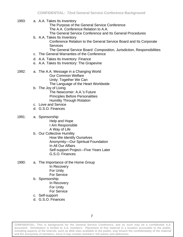- 1993: a. A.A. Takes Its Inventory
	- The Purpose of the General Service Conference The A.A. Conference Relation to A.A.
	- The General Service Conference and Its General Procedures
	- b. A.A. Takes Its Inventory

Conference Relation to the General Service Board and Its Corporate **Services** 

The General Service Board: Composition, Jurisdiction, Responsibilities

- c. The General Warranties of the Conference
- d. A.A. Takes Its Inventory: Finance
- e. A.A. Takes Its Inventory: The Grapevine
- 1992: a. The A.A. Message in a Changing World Our Common Welfare Unity: Together We Can The Language of the Heart Worldwide
	- b. The Joy of Living
		- The Newcomer: A.A.'s Future Principles Before Personalities Humility Through Rotation
	- c. Love and Service
	- d. G.S.O. Finances
- 1991: a. Sponsorship
	- Help and Hope I Am Responsible A Way of Life
	- b. Our Collective Humility How We Identify Ourselves Anonymity—Our Spiritual Foundation In All Our Affairs Self-support Project—Five Years Later G.S.O. Finances
- 1990: a. The Importance of the Home Group In Recovery For Unity For Service b. Sponsorship
	- In Recovery For Unity For Service
	- c. Self-support
	- d. G.S.O. Finances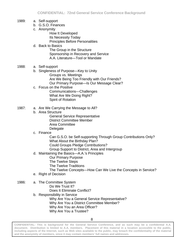- 1989: a. Self-support
	- b. G.S.O. Finances
	- c. Anonymity

How It Developed Its Necessity Today Principles Before Personalities

- d. Back to Basics The Group in the Structure Sponsorship in Recovery and Service A.A. Literature—Tool or Mandate
- 1988: a. Self-support
	- b. Singleness of Purpose—Key to Unity Groups vs. Meetings Are We Being Too Friendly with Our Friends? Our Primary Purpose—Is Our Message Clear?
	- c. Focus on the Positive Communications—Challenges What Are We Doing Right? Spirit of Rotation
- 1987: a. Are We Carrying the Message to All?
	- b. Area Structure General Service Representative District Committee Member Area Committee **Delegate**
	- c. Finance

Can G.S.O. be Self-supporting Through Group Contributions Only? What About the Birthday Plan? Could Groups Pledge Contributions?

Group Support to District, Area and Intergroup

- d. Maintaining the Basics—A.A.'s Principles
	- Our Primary Purpose
	- The Twelve Steps
	- The Twelve Traditions
	- The Twelve Concepts—How Can We Live the Concepts in Service?
- e. Right of Decision
- 1986: a. The Committee System Do We Trust It?
	- Does It Eliminate Conflict?
	- b. Responsibility in Service

Why Are You a General Service Representative? Why Are You a District Committee Member? Why Are You an Area Officer? Why Are You a Trustee?

**CONFIDENTIAL: This is background for the General Service Conference, and as such may be a confidential A.A. document. Distribution is limited to A.A. members. Placement of this material in a location accessible to the public, including aspects of the Internet, such as Web sites available to the public, may breach the confidentiality of the material and the anonymity of members, since it may contain members' full names and addresses.** 

8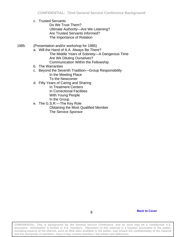- c. Trusted Servants Do We Trust Them? Ultimate Authority—Are We Listening? Are Trusted Servants Informed? The Importance of Rotation
- 1985: (Presentation and/or workshop for 1985)
	- a. Will the Hand of A.A. Always Be There? The Middle Years of Sobriety—A Dangerous Time Are We Diluting Ourselves? Communication Within the Fellowship
	- b. The Warranties
	- c. Beyond the Seventh Tradition—Group Responsibility In the Meeting Place To the Newcomer
	- d. Fifty Years of Caring and Sharing
		- In Treatment Centers In Correctional Facilities With Young People In the Group
	- e. The G.S.R.—The Key Role Obtaining the Most Qualified Member The Service Sponsor

9 **[Back to Cover](#page-7-0)**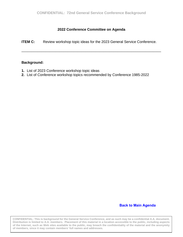#### **2022 Conference Committee on Agenda**

<span id="page-18-0"></span>**ITEM C:** Review workshop topic ideas for the 2023 General Service Conference.

\_\_\_\_\_\_\_\_\_\_\_\_\_\_\_\_\_\_\_\_\_\_\_\_\_\_\_\_\_\_\_\_\_\_\_\_\_\_\_\_\_\_\_\_\_\_\_\_\_\_\_\_\_\_\_\_\_\_\_\_\_\_\_\_\_\_\_\_\_\_

#### **Background:**

- **1.** List of 2023 Conference workshop topic ideas
- **2.** List of Conference workshop topics recommended by Conference 1985-2022

#### **[Back to Main Agenda](#page-1-0)**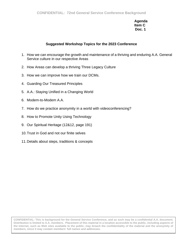**Agenda Item C Doc. 1**

#### **Suggested Workshop Topics for the 2023 Conference**

- 1. How we can encourage the growth and maintenance of a thriving and enduring A.A. General Service culture in our respective Areas
- 2. How Areas can develop a thriving Three Legacy Culture
- 3. How we can improve how we train our DCMs.
- 4. Guarding Our Treasured Principles
- 5. A.A.: Staying Unified in a Changing World
- 6. Modem-to-Modem A.A.
- 7. How do we practice anonymity in a world with videoconferencing?
- 8. How to Promote Unity Using Technology
- 9. Our Spiritual Heritage (12&12, page 191)
- 10.Trust in God and not our finite selves
- 11.Details about steps, traditions & concepts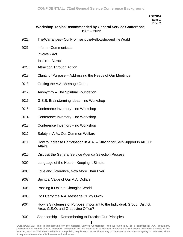**AGENDA Item C Doc. 2**

#### **Workshop Topics Recommended by General Service Conference 1985 – 2022**

- 2022: The Warranties Our Promise to the Fellowship and the World
- 2021: Inform Communicate Involve - Act

Inspire - Attract

- 2020: Attraction Through Action
- 2019: Clarity of Purpose Addressing the Needs of Our Meetings
- 2018: Getting the A.A. Message Out…
- 2017: Anonymity The Spiritual Foundation
- 2016: G.S.B. Brainstorming Ideas no Workshop
- 2015: Conference Inventory no Workshop
- 2014: Conference Inventory no Workshop
- 2013: Conference Inventory no Workshop
- 2012: Safety in A.A.: Our Common Welfare
- 2011: How to Increase Participation in A.A. Striving for Self-Support in All Our **Affairs**
- 2010: Discuss the General Service Agenda Selection Process
- 2009: Language of the Heart Keeping It Simple
- 2008: Love and Tolerance, Now More Than Ever
- 2007: Spiritual Value of Our A.A. Dollars
- 2006: Passing It On in a Changing World
- 2005: Do I Carry the A.A. Message Or My Own?
- 2004: How is Singleness of Purpose Important to the Individual, Group, District, Area, G.S.O. and Grapevine Office?
- 2003: Sponsorship Remembering to Practice Our Principles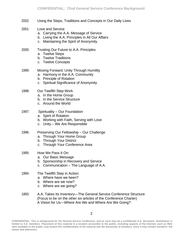- 2002: Using the Steps, Traditions and Concepts in Our Daily Lives
- 2001: Love and Service
	- a. Carrying the A.A. Message of Service
	- b. Living the A.A. Principles in All Our Affairs
	- c. Maintaining the Spirit of Anonymity
- 2000: Trusting Our Future to A.A. Principles
	- a. Twelve Steps
	- b. Twelve Traditions
	- c. Twelve Concepts
- 1999: Moving Forward: Unity Through Humility
	- a. Harmony in the A.A. Community
	- b. Principle of Rotation
	- c. Spiritual Significance of Anonymity
- 1998: Our Twelfth Step Work
	- a. In the Home Group
	- b. In the Service Structure
	- c. Around the World
- 1997: Spirituality Our Foundation
	- a. Spirit of Rotation
	- b. Working with Faith, Serving with Love
	- c. Unity We Are Responsible
- 1996: Preserving Our Fellowship Our Challenge
	- a. Through Your Home Group
	- b. Through Your District
	- c. Through Your Conference Area
- 1995: How We Pass It On:
	- a. Our Basic Message
	- b. Sponsorship in Recovery and Service
	- c. Communication The Language of A.A.
- 1994: The Twelfth Step in Action:
	- a. Where have we been?
	- b. Where are we now?
	- c. Where are we going?
- 1993: A.A. Takes Its Inventory—The General Service Conference Structure (Focus to be on the other six articles of the Conference Charter) A Vision for Us—Where Are We and Where Are We Going?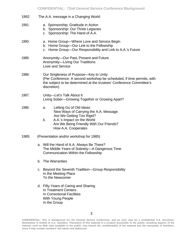| 1992: | The A.A. message in a Changing World                                                                                                                                                                       |  |  |  |  |  |
|-------|------------------------------------------------------------------------------------------------------------------------------------------------------------------------------------------------------------|--|--|--|--|--|
| 1991: | a. Sponsorship: Gratitude in Action<br>b. Sponsorship: Our Three Legacies<br>c. Sponsorship: The Hand of A.A.                                                                                              |  |  |  |  |  |
| 1990: | a. Home Group-Where Love and Service Begin<br>b. Home Group-Our Link to the Fellowship<br>c. Home Group-Our Responsibility and Link to A.A.'s Future                                                       |  |  |  |  |  |
| 1989: | Anonymity-Our Past, Present and Future<br>Anonymity-Living Our Traditions<br>Love and Service                                                                                                              |  |  |  |  |  |
| 1988: | Our Singleness of Purpose—Key to Unity<br>(Per Conference: A second workshop be scheduled, if time permits, with<br>the subject to be determined at the trustees' Conference Committee's<br>discretion)    |  |  |  |  |  |
| 1987: | Unity-Let's Talk About It<br>Living Sober-Growing Together or Growing Apart?                                                                                                                               |  |  |  |  |  |
| 1986: | Letting Go of Old Ideas:<br>a.<br>New Ways of Carrying the A.A. Message<br>Are We Getting Too Rigid?<br>A.A.'s Impact on the World<br>b.<br>Are We Being Friendly With Our Friends?<br>How A.A. Cooperates |  |  |  |  |  |
| 1985: | (Presentation and/or workshop for 1985)                                                                                                                                                                    |  |  |  |  |  |
|       | a. Will the Hand of A.A. Always Be There?<br>The Middle Years of Sobriety-A Dangerous Time<br><b>Communication Within the Fellowship</b>                                                                   |  |  |  |  |  |
|       | b. The Warranties                                                                                                                                                                                          |  |  |  |  |  |
|       | c. Beyond the Seventh Tradition-Group Responsibility<br>In the Meeting Place<br>To the Newcomer                                                                                                            |  |  |  |  |  |
|       | d. Fifty Years of Caring and Sharing<br>In Treatment Centers<br>In Correctional Facilities<br>With Young People                                                                                            |  |  |  |  |  |

In the Group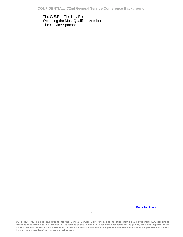e. The G.S.R.—The Key Role Obtaining the Most Qualified Member The Service Sponsor

**[Back to Cover](#page-18-0)**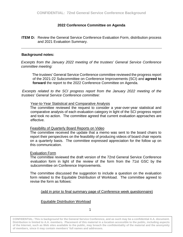#### **2022 Conference Committee on Agenda**

<span id="page-24-0"></span>**ITEM D:** Review the General Service Conference Evaluation Form, distribution process and 2021 Evaluation Summary.

#### **Background notes:**

*Excerpts from the January 2022 meeting of the trustees' General Service Conference committee meeting:* 

The trustees' General Service Conference committee reviewed the progress report of the 2021-22 Subcommittee on Conference Improvements (SCI) and **agreed to forward** the report to the 2022 Conference Committee on Agenda.

*Excerpts related to the SCI progress report from the January 2022 meeting of the trustees' General Service Conference committee:*

#### Year-to-Year Statistical and Comparative Analysis

The committee reviewed the request to consider a year-over-year statistical and comparative analysis of each evaluation category in light of the SCI progress report and took no action. The committee agreed that current evaluation approaches are effective.

#### Feasibility of Quarterly Board Reports on Video

The committee received the update that a memo was sent to the board chairs to report their perspectives on the feasibility of producing videos of board chair reports on a quarterly basis. The committee expressed appreciation for the follow up on this communication.

#### Evaluation Form

The committee reviewed the draft version of the 72nd General Service Conference evaluation form in light of the review of the form from the 71st GSC by the subcommittee on Conference Improvements.

The committee discussed the suggestion to include a question on the evaluation form related to the Equitable Distribution of Workload. The committee agreed to revise the form as follows:

#### (add in prior to final summary page of Conference week questionnaire)

#### Equitable Distribution Workload

1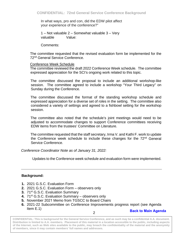In what ways, pro and con, did the EDW pilot affect your experience of the conference?"

1 – Not valuable 2 – Somewhat valuable 3 – Very valuable Value:

Comments:

The committee requested that the revised evaluation form be implemented for the 72nd General Service Conference.

#### Conference Week Schedule

The committee reviewed the draft 2022 Conference Week schedule. The committee expressed appreciation for the SCI's ongoing work related to this topic.

The committee discussed the proposal to include an additional workshop-like session. The committee agreed to include a workshop "Your Third Legacy" on Sunday during the Conference.

The committee discussed the format of the standing workshop schedule and expressed appreciation for a diverse set of roles in the setting. The committee also considered a variety of settings and agreed to a fishbowl setting for the workshop session.

The committee also noted that the schedule's joint meetings would need to be adjusted to accommodate changes to support Conference committees receiving EDW items from the trustees' Committee on Literature.

The committee requested that the staff secretary, Irma V. and Kathi F. work to update the Conference week schedule to include these changes for the 72<sup>nd</sup> General Service Conference.

*Conference Coordinator Note as of January 31, 2022:* 

Updates to the Conference week schedule and evaluation form were implemented.

#### **Background:**

- **1.** 2021 G.S.C. Evaluation Form
- **2.** 2021 G.S.C. Evaluation Form observers only
- **3.** 71<sup>st</sup> G.S.C. Evaluation Summary
- **4.** 71st G.S.C. Evaluation Summary observers only
- **5.** November 2021 Memo from TGSCC to Board Chairs
- **6.** 2021-22 Subcommittee on Conference Improvements progress report (see Agenda Item E.1)

# 2 **[Back to Main Agenda](#page-1-0)**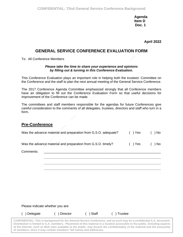**Agenda Item D Doc. 1**

**April 2022**

# **GENERAL SERVICE CONFERENCE EVALUATION FORM**

To: All Conference Members

#### *Please take the time to share your experience and opinions by filling out & turning in this Conference Evaluation.*

This Conference Evaluation plays an important role in helping both the trustees' Committee on the Conference and the staff to plan the next annual meeting of the General Service Conference.

The 2017 Conference Agenda Committee emphasized strongly that all Conference members have an obligation to fill out the Conference Evaluation Form so that useful decisions for improvement of the Conference can be made.

The committees and staff members responsible for the agendas for future Conferences give careful consideration to the comments of all delegates, trustees, directors and staff who turn in a form.

## **Pre-Conference**

| Was the advance material and preparation from G.S.O. adequate? | $( )$ Yes | ) No |
|----------------------------------------------------------------|-----------|------|
| Was the advance material and preparation from G.S.O. timely?   | $( )$ Yes | ) No |
| Comments:                                                      |           |      |
|                                                                |           |      |
|                                                                |           |      |

Please indicate whether you are:

( ) Delegate ( ) Director ( ) Staff ( ) Trustee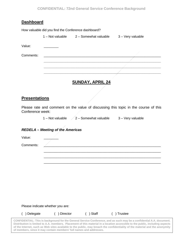# **Dashboard**

|           | How valuable did you find the Conference dashboard? |                       |                   |  |
|-----------|-----------------------------------------------------|-----------------------|-------------------|--|
|           | 1 – Not valuable                                    | 2 - Somewhat valuable | 3 - Very valuable |  |
| Value:    |                                                     |                       |                   |  |
| Comments: |                                                     |                       |                   |  |
|           |                                                     |                       |                   |  |
|           |                                                     |                       |                   |  |
|           |                                                     |                       |                   |  |
|           |                                                     |                       |                   |  |

# **SUNDAY, APRIL 24**

## **Presentations**

Please rate and comment on the value of discussing this topic in the course of this Conference week:

1 – Not valuable  $\angle$  2 – Somewhat valuable  $\angle$  3 – Very valuable

\_\_\_\_\_\_\_\_\_\_\_\_\_\_\_\_\_\_\_\_\_\_\_\_\_\_\_\_\_\_\_\_\_\_\_\_\_\_\_\_\_\_\_\_\_\_\_\_\_\_\_\_\_\_\_\_\_\_\_\_\_\_\_\_ \_\_\_\_\_\_\_\_\_\_\_\_\_\_\_\_\_\_\_\_\_\_\_\_\_\_\_\_\_\_\_\_\_\_\_\_\_\_\_\_\_\_\_\_\_\_\_\_\_\_\_\_\_\_\_\_\_\_\_\_\_\_\_\_

#### *REDELA – Meeting of the Americas*

Value:

Comments: \_\_\_\_\_\_\_\_\_\_\_\_\_\_\_\_\_\_\_\_\_\_\_\_\_\_\_\_\_\_\_\_\_\_\_\_\_\_\_\_\_\_\_\_\_\_\_\_\_\_\_\_\_\_\_\_\_\_\_\_\_\_\_\_

\_\_\_\_\_\_\_\_\_\_\_\_\_\_\_\_\_\_\_\_\_\_\_\_\_\_\_\_\_\_\_\_\_\_\_\_\_\_\_\_\_\_\_\_\_\_\_\_\_\_\_\_\_\_\_\_\_\_\_\_\_\_\_\_

Please indicate whether you are:

( ) Delegate ( ) Director ( ) Staff ( ) Trustee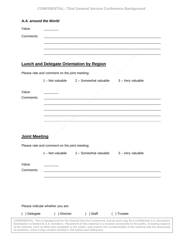| Comments:                                   |                                                                |  |
|---------------------------------------------|----------------------------------------------------------------|--|
|                                             |                                                                |  |
|                                             |                                                                |  |
|                                             |                                                                |  |
|                                             | <b>Lunch and Delegate Orientation by Region</b>                |  |
|                                             |                                                                |  |
|                                             | Please rate and comment on the joint meeting:                  |  |
|                                             | 1 - Not valuable 2 - Somewhat valuable<br>3 - Very valuable    |  |
|                                             |                                                                |  |
| Value:                                      |                                                                |  |
| Comments:                                   |                                                                |  |
|                                             |                                                                |  |
|                                             |                                                                |  |
|                                             |                                                                |  |
|                                             |                                                                |  |
|                                             |                                                                |  |
|                                             |                                                                |  |
|                                             |                                                                |  |
|                                             |                                                                |  |
|                                             | Please rate and comment on the joint meeting:                  |  |
|                                             | 1 - Not valuable<br>2 - Somewhat valuable<br>3 - Very valuable |  |
|                                             |                                                                |  |
|                                             |                                                                |  |
|                                             |                                                                |  |
| <b>Joint Meeting</b><br>Value:<br>Comments: |                                                                |  |
|                                             |                                                                |  |
|                                             |                                                                |  |
|                                             |                                                                |  |
|                                             | Please indicate whether you are:                               |  |

**Distribution is limited to A.A. members. Placement of this material in a location accessible to the public, including aspects of the Internet, such as Web sites available to the public, may breach the confidentiality of the material and the anonymity of members, since it may contain members' full names and addresses.**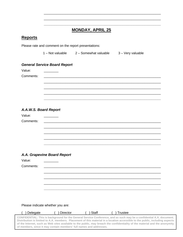# **MONDAY, APRIL 25**

\_\_\_\_\_\_\_\_\_\_\_\_\_\_\_\_\_\_\_\_\_\_\_\_\_\_\_\_\_\_\_\_\_\_\_\_\_\_\_\_\_\_\_\_\_\_\_\_\_\_\_\_\_\_\_\_\_\_\_\_\_\_\_\_ \_\_\_\_\_\_\_\_\_\_\_\_\_\_\_\_\_\_\_\_\_\_\_\_\_\_\_\_\_\_\_\_\_\_\_\_\_\_\_\_\_\_\_\_\_\_\_\_\_\_\_\_\_\_\_\_\_\_\_\_\_\_\_\_ **\_\_\_\_\_\_\_\_\_\_\_\_\_\_\_\_\_\_\_\_\_\_\_\_\_\_\_\_\_\_\_\_\_\_\_\_\_\_\_\_\_\_\_\_\_\_\_\_\_\_\_\_\_\_\_\_\_\_\_\_\_\_\_\_**

## **Reports**

Please rate and comment on the report presentations:

1 – Not valuable 2 – Somewhat valuable 3 – Very valuable

#### *General Service Board Report*

| Value:    |  |  |  |
|-----------|--|--|--|
| Comments: |  |  |  |
|           |  |  |  |
|           |  |  |  |
|           |  |  |  |
|           |  |  |  |
|           |  |  |  |

#### *A.A.W.S. Board Report*

| Value:                      |  |  |  |
|-----------------------------|--|--|--|
| Comments:                   |  |  |  |
|                             |  |  |  |
|                             |  |  |  |
|                             |  |  |  |
|                             |  |  |  |
|                             |  |  |  |
| A.A. Grapevine Board Report |  |  |  |

| Value:    |                                                        |  |  |
|-----------|--------------------------------------------------------|--|--|
| Comments: | <u> 1980 - Jan Barat, margaret al II-lea (b. 1980)</u> |  |  |
|           |                                                        |  |  |
|           |                                                        |  |  |
|           |                                                        |  |  |
|           |                                                        |  |  |

Please indicate whether you are:

| ) Delegate                                                          | Director | ∣ Staff | ) Trustee |                                                                                                                               |
|---------------------------------------------------------------------|----------|---------|-----------|-------------------------------------------------------------------------------------------------------------------------------|
|                                                                     |          |         |           | CONFIDENTIAL: This is background for the General Service Conference, and as such may be a confidential A.A. document.         |
|                                                                     |          |         |           | Distribution is limited to A.A. members. Placement of this material in a location accessible to the public, including aspects |
|                                                                     |          |         |           | of the Internet, such as Web sites available to the public, may breach the confidentiality of the material and the anonymity  |
| of members, since it may contain members' full names and addresses. |          |         |           |                                                                                                                               |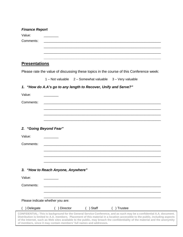| <b>Finance Report</b> |                                                                                         |
|-----------------------|-----------------------------------------------------------------------------------------|
| Value:                |                                                                                         |
| Comments:             |                                                                                         |
|                       |                                                                                         |
|                       |                                                                                         |
| <b>Presentations</b>  |                                                                                         |
|                       | Please rate the value of discussing these topics in the course of this Conference week: |
|                       | 1 - Not valuable 2 - Somewhat valuable 3 - Very valuable                                |
|                       | 1. "How do A.A's go to any length to Recover, Unify and Serve?"                         |
| Value:                |                                                                                         |
| Comments:             |                                                                                         |
|                       |                                                                                         |
|                       |                                                                                         |
|                       |                                                                                         |
|                       |                                                                                         |
|                       | 2. "Going Beyond Fear"                                                                  |
|                       |                                                                                         |
|                       |                                                                                         |
|                       |                                                                                         |
|                       |                                                                                         |
| Value:<br>Comments:   |                                                                                         |
|                       | 3. "How to Reach Anyone, Anywhere"                                                      |
| Value:                |                                                                                         |
| Comments:             |                                                                                         |
|                       |                                                                                         |
|                       | Please indicate whether you are:                                                        |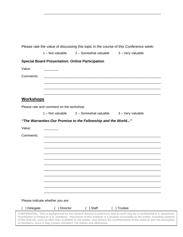|                  |                                                | 1 – Not valuable 2 – Somewhat valuable                       | 3 - Very valuable |
|------------------|------------------------------------------------|--------------------------------------------------------------|-------------------|
|                  |                                                | <b>Special Board Presentation: Online Participation</b>      |                   |
| Value:           |                                                |                                                              |                   |
| Comments:        |                                                |                                                              |                   |
|                  |                                                |                                                              |                   |
|                  |                                                |                                                              |                   |
| <b>Workshops</b> |                                                |                                                              |                   |
|                  | Please rate and comment on the workshop:       |                                                              |                   |
|                  | $1 - Not value$                                | 2 – Somewhat valuable                                        | 3 - Very valuable |
|                  |                                                | "The Warranties-Our Promise to the Fellowship and the World" |                   |
| Value:           |                                                |                                                              |                   |
| Comments:        |                                                |                                                              |                   |
|                  |                                                |                                                              |                   |
|                  |                                                |                                                              |                   |
|                  |                                                |                                                              |                   |
|                  |                                                |                                                              |                   |
|                  |                                                |                                                              |                   |
|                  |                                                |                                                              |                   |
|                  |                                                |                                                              |                   |
|                  |                                                |                                                              |                   |
| ) Delegate       | Please indicate whether you are:<br>) Director | ) Staff                                                      | ) Trustee         |

\_\_\_\_\_\_\_\_\_\_\_\_\_\_\_\_\_\_\_\_\_\_\_\_\_\_\_\_\_\_\_\_\_\_\_\_\_\_\_\_\_\_\_\_\_\_\_\_\_\_\_\_\_\_\_\_\_\_\_\_\_\_\_\_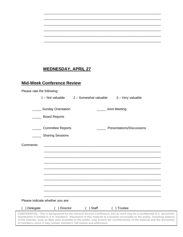# **WEDNESDAY, APRIL 27**

# **Mid-Week Conference Review**

|            | Please rate the following:                      |                                                                     |                                                                                                                                                                                                                                                                                                                                                                                        |  |
|------------|-------------------------------------------------|---------------------------------------------------------------------|----------------------------------------------------------------------------------------------------------------------------------------------------------------------------------------------------------------------------------------------------------------------------------------------------------------------------------------------------------------------------------------|--|
|            | $1 - Not value$                                 | 2 - Somewhat valuable                                               | 3 - Very valuable                                                                                                                                                                                                                                                                                                                                                                      |  |
|            | ____ Sunday Orientation<br><b>Board Reports</b> |                                                                     | Joint Meeting                                                                                                                                                                                                                                                                                                                                                                          |  |
|            | <b>Committee Reports</b>                        |                                                                     | Presentations/Discussions                                                                                                                                                                                                                                                                                                                                                              |  |
|            | <b>Sharing Sessions</b>                         |                                                                     |                                                                                                                                                                                                                                                                                                                                                                                        |  |
| Comments:  |                                                 |                                                                     |                                                                                                                                                                                                                                                                                                                                                                                        |  |
|            |                                                 |                                                                     |                                                                                                                                                                                                                                                                                                                                                                                        |  |
|            |                                                 |                                                                     |                                                                                                                                                                                                                                                                                                                                                                                        |  |
|            |                                                 |                                                                     |                                                                                                                                                                                                                                                                                                                                                                                        |  |
|            |                                                 |                                                                     |                                                                                                                                                                                                                                                                                                                                                                                        |  |
|            |                                                 |                                                                     |                                                                                                                                                                                                                                                                                                                                                                                        |  |
|            |                                                 |                                                                     |                                                                                                                                                                                                                                                                                                                                                                                        |  |
|            |                                                 |                                                                     |                                                                                                                                                                                                                                                                                                                                                                                        |  |
|            | Please indicate whether you are:                |                                                                     |                                                                                                                                                                                                                                                                                                                                                                                        |  |
| ) Delegate | ( ) Director                                    | $( )$ Staff                                                         | ) Trustee                                                                                                                                                                                                                                                                                                                                                                              |  |
|            |                                                 | of members, since it may contain members' full names and addresses. | CONFIDENTIAL: This is background for the General Service Conference, and as such may be a confidential A.A. document.<br>Distribution is limited to A.A. members. Placement of this material in a location accessible to the public, including aspects<br>of the Internet, such as Web sites available to the public, may breach the confidentiality of the material and the anonymity |  |
|            |                                                 |                                                                     |                                                                                                                                                                                                                                                                                                                                                                                        |  |

\_\_\_\_\_\_\_\_\_\_\_\_\_\_\_\_\_\_\_\_\_\_\_\_\_\_\_\_\_\_\_\_\_\_\_\_\_\_\_\_\_\_\_\_\_\_\_\_\_\_\_\_\_\_\_\_\_\_\_\_\_\_\_\_ \_\_\_\_\_\_\_\_\_\_\_\_\_\_\_\_\_\_\_\_\_\_\_\_\_\_\_\_\_\_\_\_\_\_\_\_\_\_\_\_\_\_\_\_\_\_\_\_\_\_\_\_\_\_\_\_\_\_\_\_\_\_\_\_ \_\_\_\_\_\_\_\_\_\_\_\_\_\_\_\_\_\_\_\_\_\_\_\_\_\_\_\_\_\_\_\_\_\_\_\_\_\_\_\_\_\_\_\_\_\_\_\_\_\_\_\_\_\_\_\_\_\_\_\_\_\_\_\_ \_\_\_\_\_\_\_\_\_\_\_\_\_\_\_\_\_\_\_\_\_\_\_\_\_\_\_\_\_\_\_\_\_\_\_\_\_\_\_\_\_\_\_\_\_\_\_\_\_\_\_\_\_\_\_\_\_\_\_\_\_\_\_\_ \_\_\_\_\_\_\_\_\_\_\_\_\_\_\_\_\_\_\_\_\_\_\_\_\_\_\_\_\_\_\_\_\_\_\_\_\_\_\_\_\_\_\_\_\_\_\_\_\_\_\_\_\_\_\_\_\_\_\_\_\_\_\_\_ \_\_\_\_\_\_\_\_\_\_\_\_\_\_\_\_\_\_\_\_\_\_\_\_\_\_\_\_\_\_\_\_\_\_\_\_\_\_\_\_\_\_\_\_\_\_\_\_\_\_\_\_\_\_\_\_\_\_\_\_\_\_\_\_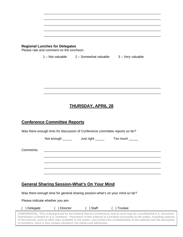\_\_\_\_\_\_\_\_\_\_\_\_\_\_\_\_\_\_\_\_\_\_\_\_\_\_\_\_\_\_\_\_\_\_\_\_\_\_\_\_\_\_\_\_\_\_\_\_\_\_\_\_\_\_\_\_\_\_\_\_\_\_\_\_ \_\_\_\_\_\_\_\_\_\_\_\_\_\_\_\_\_\_\_\_\_\_\_\_\_\_\_\_\_\_\_\_\_\_\_\_\_\_\_\_\_\_\_\_\_\_\_\_\_\_\_\_\_\_\_\_\_\_\_\_\_\_\_\_

\_\_\_\_\_\_\_\_\_\_\_\_\_\_\_\_\_\_\_\_\_\_\_\_\_\_\_\_\_\_\_\_\_\_\_\_\_\_\_\_\_\_\_\_\_\_\_\_\_\_\_\_\_\_\_\_\_\_\_\_\_\_\_\_ \_\_\_\_\_\_\_\_\_\_\_\_\_\_\_\_\_\_\_\_\_\_\_\_\_\_\_\_\_\_\_\_\_\_\_\_\_\_\_\_\_\_\_\_\_\_\_\_\_\_\_\_\_\_\_\_\_\_\_\_\_\_\_\_ \_\_\_\_\_\_\_\_\_\_\_\_\_\_\_\_\_\_\_\_\_\_\_\_\_\_\_\_\_\_\_\_\_\_\_\_\_\_\_\_\_\_\_\_\_\_\_\_\_\_\_\_\_\_\_\_\_\_\_\_\_\_\_\_ \_\_\_\_\_\_\_\_\_\_\_\_\_\_\_\_\_\_\_\_\_\_\_\_\_\_\_\_\_\_\_\_\_\_\_\_\_\_\_\_\_\_\_\_\_\_\_\_\_\_\_\_\_\_\_\_\_\_\_\_\_\_\_\_

#### **Regional Lunches for Delegates**

Please rate and comment on the luncheon:

1 – Not valuable 2 – Somewhat valuable 3 – Very valuable

# **THURSDAY, APRIL 28**

# **Conference Committee Reports**

Was there enough time for discussion of Conference committee reports so far?

Not enough dust right Too much

Comments: \_\_\_\_\_\_\_\_\_\_\_\_\_\_\_\_\_\_\_\_\_\_\_\_\_\_\_\_\_\_\_\_\_\_\_\_\_\_\_\_\_\_\_\_\_\_\_\_\_\_\_\_\_\_\_\_\_\_\_\_\_\_\_\_

# **General Sharing Session-What's On Your Mind**

Was there enough time for general sharing session-what's on your mind so far?

Please indicate whether you are:

| ( ) Delegate | ( ) Director | $( )$ Staff | ( ) Trustee |
|--------------|--------------|-------------|-------------|
|--------------|--------------|-------------|-------------|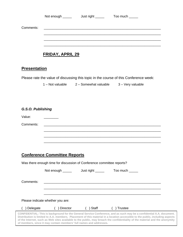| Comments:                           |                         |                                                          |                                                                                       |
|-------------------------------------|-------------------------|----------------------------------------------------------|---------------------------------------------------------------------------------------|
|                                     |                         |                                                          |                                                                                       |
|                                     | <b>FRIDAY, APRIL 29</b> |                                                          |                                                                                       |
| <b>Presentation</b>                 |                         |                                                          |                                                                                       |
|                                     |                         |                                                          | Please rate the value of discussing this topic in the course of this Conference week: |
|                                     |                         | 1 - Not valuable 2 - Somewhat valuable 3 - Very valuable |                                                                                       |
|                                     |                         |                                                          |                                                                                       |
| G.S.O. Publishing                   |                         |                                                          |                                                                                       |
| Value:                              | ________                |                                                          |                                                                                       |
| Comments:                           |                         |                                                          |                                                                                       |
|                                     |                         |                                                          |                                                                                       |
|                                     |                         |                                                          |                                                                                       |
| <b>Conference Committee Reports</b> |                         |                                                          |                                                                                       |

|            | Was there enough time for discussion of Conference committee reports? |                   |                                                                                                                                                                                                                                                                                                                                                                                        |  |
|------------|-----------------------------------------------------------------------|-------------------|----------------------------------------------------------------------------------------------------------------------------------------------------------------------------------------------------------------------------------------------------------------------------------------------------------------------------------------------------------------------------------------|--|
|            | Not enough ______                                                     | Just right ______ | Too much                                                                                                                                                                                                                                                                                                                                                                               |  |
| Comments:  |                                                                       |                   |                                                                                                                                                                                                                                                                                                                                                                                        |  |
|            | Please indicate whether you are:                                      |                   |                                                                                                                                                                                                                                                                                                                                                                                        |  |
| ) Delegate | Director                                                              | Staff             | ⊦Trustee                                                                                                                                                                                                                                                                                                                                                                               |  |
|            | of members, since it may contain members' full names and addresses.   |                   | CONFIDENTIAL: This is background for the General Service Conference, and as such may be a confidential A.A. document.<br>Distribution is limited to A.A. members. Placement of this material in a location accessible to the public, including aspects<br>of the Internet, such as Web sites available to the public, may breach the confidentiality of the material and the anonymity |  |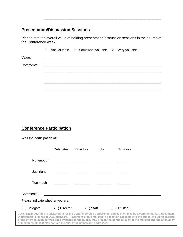# **Presentation/Discussion Sessions**

Please rate the overall value of holding presentation/discussion sessions in the course of the Conference week:

\_\_\_\_\_\_\_\_\_\_\_\_\_\_\_\_\_\_\_\_\_\_\_\_\_\_\_\_\_\_\_\_\_\_\_\_\_\_\_\_\_\_\_\_\_\_\_\_\_\_\_\_\_\_\_\_\_\_\_\_\_\_\_\_ \_\_\_\_\_\_\_\_\_\_\_\_\_\_\_\_\_\_\_\_\_\_\_\_\_\_\_\_\_\_\_\_\_\_\_\_\_\_\_\_\_\_\_\_\_\_\_\_\_\_\_\_\_\_\_\_\_\_\_\_\_\_\_\_

|           |                                                                                                                      | 1 - Not valuable 2 - Somewhat valuable 3 - Very valuable |  |
|-----------|----------------------------------------------------------------------------------------------------------------------|----------------------------------------------------------|--|
| Value:    |                                                                                                                      |                                                          |  |
| Comments: | <u> 1980 - Jan Samuel Barbara, margaret e populari e populari e populari e populari e populari e populari e popu</u> |                                                          |  |
|           |                                                                                                                      |                                                          |  |
|           |                                                                                                                      |                                                          |  |
|           |                                                                                                                      |                                                          |  |
|           |                                                                                                                      |                                                          |  |

# **Conference Participation**

Was the participation of:

|                                                                                                                                                                                                                                                                                                                                                                                                                                                               | Delegates | <b>Directors</b> | Staff | <b>Trustees</b> |
|---------------------------------------------------------------------------------------------------------------------------------------------------------------------------------------------------------------------------------------------------------------------------------------------------------------------------------------------------------------------------------------------------------------------------------------------------------------|-----------|------------------|-------|-----------------|
| Not enough                                                                                                                                                                                                                                                                                                                                                                                                                                                    |           |                  |       |                 |
| Just right                                                                                                                                                                                                                                                                                                                                                                                                                                                    |           |                  |       |                 |
| Too much                                                                                                                                                                                                                                                                                                                                                                                                                                                      |           |                  |       |                 |
| Comments:                                                                                                                                                                                                                                                                                                                                                                                                                                                     |           |                  |       |                 |
| Please indicate whether you are:                                                                                                                                                                                                                                                                                                                                                                                                                              |           |                  |       |                 |
| Delegate                                                                                                                                                                                                                                                                                                                                                                                                                                                      | Director  |                  | Staff | <b>Trustee</b>  |
| CONFIDENTIAL: This is background for the General Service Conference, and as such may be a confidential A.A. document.<br>Distribution is limited to A.A. members. Placement of this material in a location accessible to the public, including aspects<br>of the Internet, such as Web sites available to the public, may breach the confidentiality of the material and the anonymity<br>of members, since it may contain members' full names and addresses. |           |                  |       |                 |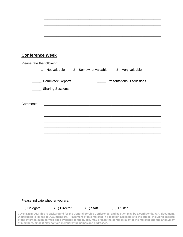| <b>Conference Week</b>     |                         |                                                          |                           |
|----------------------------|-------------------------|----------------------------------------------------------|---------------------------|
| Please rate the following: |                         |                                                          |                           |
|                            |                         | 1 - Not valuable 2 - Somewhat valuable 3 - Very valuable |                           |
|                            | _____ Committee Reports |                                                          | Presentations/Discussions |
|                            | _____ Sharing Sessions  |                                                          |                           |
|                            |                         |                                                          |                           |
|                            |                         |                                                          |                           |
| Comments:                  |                         |                                                          |                           |
|                            |                         |                                                          |                           |
|                            |                         |                                                          |                           |
|                            |                         |                                                          |                           |
|                            |                         |                                                          |                           |
|                            |                         |                                                          |                           |
|                            |                         |                                                          |                           |
|                            |                         |                                                          |                           |
|                            |                         |                                                          |                           |
|                            |                         |                                                          |                           |
|                            |                         |                                                          |                           |
|                            |                         |                                                          |                           |
|                            |                         |                                                          |                           |
|                            |                         |                                                          |                           |
|                            |                         |                                                          |                           |

\_\_\_\_\_\_\_\_\_\_\_\_\_\_\_\_\_\_\_\_\_\_\_\_\_\_\_\_\_\_\_\_\_\_\_\_\_\_\_\_\_\_\_\_\_\_\_\_\_\_\_\_\_\_\_\_\_\_\_\_\_\_\_\_

Please indicate whether you are:

( ) Delegate ( ) Director ( ) Staff ( ) Trustee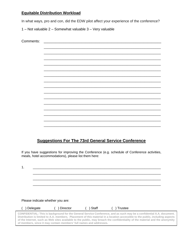# **Equitable Distribution Workload**

In what ways, pro and con, did the EDW pilot affect your experience of the conference?

1 – Not valuable 2 – Somewhat valuable 3 – Very valuable

| Comments: | <u> 1980 - Jan Samuel Barbara, político e a f</u> |  |
|-----------|---------------------------------------------------|--|
|           |                                                   |  |
|           |                                                   |  |
|           |                                                   |  |
|           |                                                   |  |
|           |                                                   |  |
|           |                                                   |  |
|           |                                                   |  |
|           |                                                   |  |
|           |                                                   |  |
|           |                                                   |  |
|           |                                                   |  |
|           |                                                   |  |
|           |                                                   |  |
|           |                                                   |  |
|           |                                                   |  |
|           |                                                   |  |
|           |                                                   |  |
|           |                                                   |  |

# **Suggestions For The 73rd General Service Conference**

If you have suggestions for improving the Conference (e.g. schedule of Conference activities, meals, hotel accommodations), please list them here:

1.  $\blacksquare$ \_\_\_\_\_\_\_\_\_\_\_\_\_\_\_\_\_\_\_\_\_\_\_\_\_\_\_\_\_\_\_\_\_\_\_\_\_\_\_\_\_\_\_\_\_\_\_\_\_\_\_\_\_\_\_\_\_\_\_\_\_\_\_\_\_\_\_\_\_\_ \_\_\_\_\_\_\_\_\_\_\_\_\_\_\_\_\_\_\_\_\_\_\_\_\_\_\_\_\_\_\_\_\_\_\_\_\_\_\_\_\_\_\_\_\_\_\_\_\_\_\_\_\_\_\_\_\_\_\_\_\_\_\_\_\_\_\_\_\_\_ \_\_\_\_\_\_\_\_\_\_\_\_\_\_\_\_\_\_\_\_\_\_\_\_\_\_\_\_\_\_\_\_\_\_\_\_\_\_\_\_\_\_\_\_\_\_\_\_\_\_\_\_\_\_\_\_\_\_\_\_\_\_\_\_\_\_\_\_\_\_

Please indicate whether you are:

| ) Delegate | ) Director                                                          | ) Staff | ) Trustee                                                                                                                                                                                                                                                                                                                                                                              |  |
|------------|---------------------------------------------------------------------|---------|----------------------------------------------------------------------------------------------------------------------------------------------------------------------------------------------------------------------------------------------------------------------------------------------------------------------------------------------------------------------------------------|--|
|            | of members, since it may contain members' full names and addresses. |         | CONFIDENTIAL: This is background for the General Service Conference, and as such may be a confidential A.A. document.<br>Distribution is limited to A.A. members. Placement of this material in a location accessible to the public, including aspects<br>of the Internet, such as Web sites available to the public, may breach the confidentiality of the material and the anonymity |  |
|            |                                                                     |         |                                                                                                                                                                                                                                                                                                                                                                                        |  |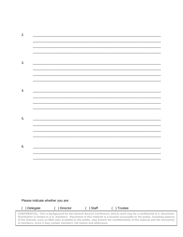| 2. |                                                                                                                       |                          |
|----|-----------------------------------------------------------------------------------------------------------------------|--------------------------|
|    |                                                                                                                       |                          |
|    |                                                                                                                       | $\overline{\phantom{0}}$ |
|    |                                                                                                                       |                          |
|    |                                                                                                                       |                          |
| 3. |                                                                                                                       |                          |
|    |                                                                                                                       |                          |
|    |                                                                                                                       |                          |
|    |                                                                                                                       |                          |
| 4. |                                                                                                                       |                          |
|    |                                                                                                                       |                          |
|    |                                                                                                                       |                          |
|    |                                                                                                                       |                          |
|    |                                                                                                                       |                          |
| 5. |                                                                                                                       |                          |
|    |                                                                                                                       | $\overline{\phantom{a}}$ |
|    |                                                                                                                       |                          |
|    |                                                                                                                       |                          |
| 6. | <u> 1989 - Johann Barn, amerikan bernama di sebagai bernama di sebagai bernama di sebagai bernama di sebagai bern</u> |                          |
|    |                                                                                                                       |                          |
|    |                                                                                                                       |                          |
|    |                                                                                                                       |                          |

### Please indicate whether you are:

| Delegate | ) Director                                                          | Staff | Trustee                                                                                                                                                                                                                                                                                                                                                                                |  |
|----------|---------------------------------------------------------------------|-------|----------------------------------------------------------------------------------------------------------------------------------------------------------------------------------------------------------------------------------------------------------------------------------------------------------------------------------------------------------------------------------------|--|
|          | of members, since it may contain members' full names and addresses. |       | CONFIDENTIAL: This is background for the General Service Conference, and as such may be a confidential A.A. document.<br>Distribution is limited to A.A. members. Placement of this material in a location accessible to the public, including aspects<br>of the Internet, such as Web sites available to the public, may breach the confidentiality of the material and the anonymity |  |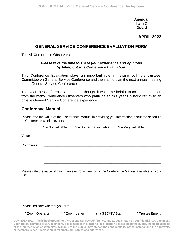**Agenda Item D Doc. 2**

# **APRIL 2022**

# **GENERAL SERVICE CONFERENCE EVALUATION FORM**

To: All Conference Observers

#### *Please take the time to share your experience and opinions by filling out this Conference Evaluation.*

This Conference Evaluation plays an important role in helping both the trustees' Committee on General Service Conference and the staff to plan the next annual meeting of the General Service Conference.

This year the Conference Coordinator thought it would be helpful to collect information from the many Conference Observers who participated this year's historic return to an on-site General Service Conference experience.

## **Conference Manual**

Please rate the value of the Conference Manual in providing you information about the schedule of Conference week's events:

|           | 1 - Not valuable | 2 - Somewhat valuable | 3 - Very valuable |
|-----------|------------------|-----------------------|-------------------|
| Value:    |                  |                       |                   |
| Comments: |                  |                       |                   |
|           |                  |                       |                   |
|           |                  |                       |                   |

Please rate the value of having an electronic version of the Conference Manual available for your use:

Please indicate whether you are:

() Zoom Operator () Zoom Usher () GSO/GV Staff () Trustee Emeriti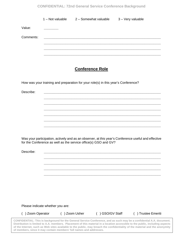#### **CONFIDENTIAL: 72nd General Service Conference Background**

|           | $1 - Not value$ | 2 - Somewhat valuable | 3 - Very valuable |
|-----------|-----------------|-----------------------|-------------------|
| Value:    |                 |                       |                   |
| Comments: |                 |                       |                   |
|           |                 |                       |                   |
|           |                 |                       |                   |
|           |                 |                       |                   |

# **Conference Role**

**\_\_\_\_\_\_\_\_\_\_\_\_\_\_\_\_\_\_\_\_\_\_\_\_\_\_\_\_\_\_\_\_\_\_\_\_\_\_\_\_\_\_\_\_\_\_\_\_\_\_\_\_\_\_\_\_\_\_\_\_\_\_\_\_ \_\_\_\_\_\_\_\_\_\_\_\_\_\_\_\_\_\_\_\_\_\_\_\_\_\_\_\_\_\_\_\_\_\_\_\_\_\_\_\_\_\_\_\_\_\_\_\_\_\_\_\_\_\_\_\_\_\_\_\_\_\_\_\_ \_\_\_\_\_\_\_\_\_\_\_\_\_\_\_\_\_\_\_\_\_\_\_\_\_\_\_\_\_\_\_\_\_\_\_\_\_\_\_\_\_\_\_\_\_\_\_\_\_\_\_\_\_\_\_\_\_\_\_\_\_\_\_\_ \_\_\_\_\_\_\_\_\_\_\_\_\_\_\_\_\_\_\_\_\_\_\_\_\_\_\_\_\_\_\_\_\_\_\_\_\_\_\_\_\_\_\_\_\_\_\_\_\_\_\_\_\_\_\_\_\_\_\_\_\_\_\_\_ \_\_\_\_\_\_\_\_\_\_\_\_\_\_\_\_\_\_\_\_\_\_\_\_\_\_\_\_\_\_\_\_\_\_\_\_\_\_\_\_\_\_\_\_\_\_\_\_\_\_\_\_\_\_\_\_\_\_\_\_\_\_\_\_ \_\_\_\_\_\_\_\_\_\_\_\_\_\_\_\_\_\_\_\_\_\_\_\_\_\_\_\_\_\_\_\_\_\_\_\_\_\_\_\_\_\_\_\_\_\_\_\_\_\_\_\_\_\_\_\_\_\_\_\_\_\_\_\_**

**\_\_\_\_\_\_\_\_\_\_\_\_\_\_\_\_\_\_\_\_\_\_\_\_\_\_\_\_\_\_\_\_\_\_\_\_\_\_\_\_\_\_\_\_\_\_\_\_\_\_\_\_\_\_\_\_\_\_\_\_\_\_\_\_ \_\_\_\_\_\_\_\_\_\_\_\_\_\_\_\_\_\_\_\_\_\_\_\_\_\_\_\_\_\_\_\_\_\_\_\_\_\_\_\_\_\_\_\_\_\_\_\_\_\_\_\_\_\_\_\_\_\_\_\_\_\_\_\_ \_\_\_\_\_\_\_\_\_\_\_\_\_\_\_\_\_\_\_\_\_\_\_\_\_\_\_\_\_\_\_\_\_\_\_\_\_\_\_\_\_\_\_\_\_\_\_\_\_\_\_\_\_\_\_\_\_\_\_\_\_\_\_\_ \_\_\_\_\_\_\_\_\_\_\_\_\_\_\_\_\_\_\_\_\_\_\_\_\_\_\_\_\_\_\_\_\_\_\_\_\_\_\_\_\_\_\_\_\_\_\_\_\_\_\_\_\_\_\_\_\_\_\_\_\_\_\_\_**

How was your training and preparation for your role(s) in this year's Conference?

Describe: **\_\_\_\_\_\_\_\_\_\_\_\_\_\_\_\_\_\_\_\_\_\_\_\_\_\_\_\_\_\_\_\_\_\_\_\_\_\_\_\_\_\_\_\_\_\_\_\_\_\_\_\_\_\_\_\_\_\_\_\_\_\_\_\_**

Was your participation, actively and as an observer, at this year's Conference useful and effective for the Conference as well as the service office(s) GSO and GV?

Describe: **\_\_\_\_\_\_\_\_\_\_\_\_\_\_\_\_\_\_\_\_\_\_\_\_\_\_\_\_\_\_\_\_\_\_\_\_\_\_\_\_\_\_\_\_\_\_\_\_\_\_\_\_\_\_\_\_\_\_\_\_\_\_\_\_**

Please indicate whether you are:

() Zoom Operator () Zoom Usher () GSO/GV Staff () Trustee Emeriti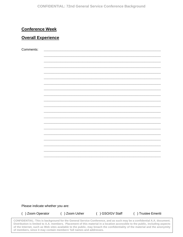# **Conference Week**

# **Overall Experience**

Comments:

Please indicate whether you are:

() Zoom Operator

() Zoom Usher

() GSO/GV Staff

( ) Trustee Emeriti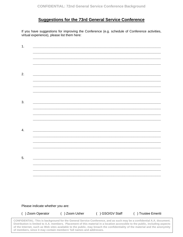# **Suggestions for the 73rd General Service Conference**

If you have suggestions for improving the Conference (e.g. schedule of Conference activities, virtual experience), please list them here:

| $\overline{1}$ . |  |  |
|------------------|--|--|
|                  |  |  |
|                  |  |  |
| 2.               |  |  |
|                  |  |  |
|                  |  |  |
|                  |  |  |
| 3.               |  |  |
|                  |  |  |
|                  |  |  |
| 4.               |  |  |
|                  |  |  |
|                  |  |  |
| 5.               |  |  |
|                  |  |  |
|                  |  |  |
|                  |  |  |

Please indicate whether you are:

() Zoom Operator () Zoom Usher () GSO/GV Staff () Trustee Emeriti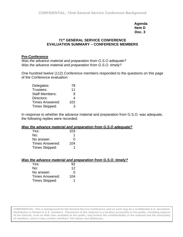**Agenda Item D Doc. 3**

### **71st GENERAL SERVICE CONFERENCE EVALUATION SUMMARY – CONFERENCE MEMBERS**

#### **Pre-Conference**

*Was the advance material and preparation from G.S.O adequate? Was the advance material and preparation from G.S.O. timely?*

One hundred twelve (112) Conference members responded to the questions on this page of the Conference evaluation:

| Delegates:             | 78  |
|------------------------|-----|
| Trustees:              | 11  |
| <b>Staff Members:</b>  | 9   |
| Directors:             | 4   |
| <b>Times Answered:</b> | 102 |
| Times Skipped:         | 3   |

In response to whether the advance material and preparation from G.S.O. was adequate, the following replies were recorded:

#### *Was the advance material and preparation from G.S.O adequate?*

| Yes:                   | 103 |
|------------------------|-----|
| No:                    |     |
| No answer:             | O   |
| <b>Times Answered:</b> | 104 |
| Times Skipped:         |     |

| Was the advance material and preparation from G.S.O. timely? |  |  |  |
|--------------------------------------------------------------|--|--|--|
|                                                              |  |  |  |

| Yes:                   | 92  |
|------------------------|-----|
| No:                    | 12  |
| No answer:             | O   |
| <b>Times Answered:</b> | 104 |
| Times Skipped:         |     |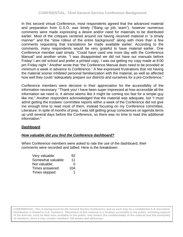In this second virtual Conference, most respondents agreed that the advanced material and preparation from G.S.O. was timely ("Bang up job, team"), however numerous comments were made expressing a desire and/or need for materials to be distributed earlier. Most of the critiques centered around not having received material in "a timely manner" and the "slow rollout of the entire background" along with more than a few comments requesting that translations be made available earlier. According to the comments, many respondents would be very grateful to have material earlier. One Conference member said simply, "Could have used one more day with the Conference Manual" and another wrote, "I was disappointed we did not have our manuals before Friday! I am old school and prefer a printed copy. I was out getting my copy made at 8:00 pm Friday night." Another wrote that "the Conference Manual does need to be provided at minimum a week in advance to Conference." A few expressed frustrations that not having the material sooner inhibited personal familiarization with the material, as well as affected how well they could "adequately prepare our districts and ourselves for a pre-Conference."

Conference members were decisive in their appreciation for the accessibility of the information necessary: "Thank you! I have been super impressed at how accessible all the information we need is. It almost seems like it might be coming too fast for a simple guy like me." Another respondent acknowledged that the material was adequate, but "I must admit getting the trustees' committee reports within a week of the Conference did not give me enough time to read most of them, instead focusing on my Conference committee, Literature. In spite of months of prep, I was still getting group consciences on agenda items up until several days before the Conference, so there was no time to read this additional information."

## **Dashboard**

## *How valuable did you find the Conference dashboard?*

When Conference members were asked to rate the use of the dashboard, their comments were recorded and tallied. Here is the breakdown:

| Very valuable:     | 92  |
|--------------------|-----|
| Somewhat valuable: | 11  |
| Not valuable:      | 0   |
| Times answered:    | 104 |
| Times skipped:     |     |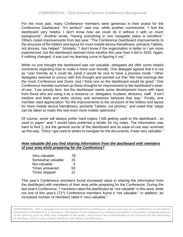For the most part, many Conference members were generous in their praise for the Conference Dashboard. "It's perfect!" said one, while another commented, "I find the dashboard very helpful. I don't know how we could do it without it with so much background." Another wrote, "having everything in one navigable place is excellent." Others noted improvements from last year: "The Conference Dashboard improvements to the structure of the folders and layout for more mobile device friendliness, primarily Tablets, not phones, has helped." Similarly: "I don't know if the organization is better or I am more experienced, but the dashboard seemed more intuitive this year than it did in 2020. Again, if nothing changed, it was just my learning curve in figuring it out."

While no one thought the dashboard was *not* valuable, delegates did offer some helpful comments regarding how to make it more user friendly. One delegate agreed that it is not as "user friendly as it could be, [and] it would be nice to have a preview mode." Other delegates seemed to concur with this thought and pointed out that "We had trainings like the mock Conference and Zoom, [so] I think one on the dashboard would be good." One Conference member summed up these thoughts for improvement to the dashboard's easeof-use: "Low priority item, but the dashboard needs some development hours with input from those who are using it as a resource i.e. delegates, trustees, directors, staff. It isn't intuitive and feels and looks clumsy and sometimes behaves that way." Finally, one member cited appreciation "for the improvements to the structure of the folders and layout for more mobile device friendliness, primarily Tablets, not phones," and noted that "steps can be taken to make this tool even more mobile optimized."

Of course, some will always prefer hard copies ("still getting used to the dashboard…so used to paper" and "I would have preferred a binder for my notes. The information was hard to find."), but the general sense of the dashboard and its ease-of-use was summed up this way: "Once I got used to where to navigate for the documents, it was very valuable."

#### *How valuable did you find sharing information from the dashboard with members of your area while preparing for the Conference?*

| Very valuable:     | 78 |
|--------------------|----|
| Somewhat valuable: | 15 |
| Not valuable:      | O  |
| Times answered:    | 93 |
| Times skipped:     | 12 |

This year's Conference members found increased value in sharing the information from the dashboard with members of their area while preparing for the Conference. During the last year's Conference, 7 members rated the dashboard as "not valuable" in this area, while not one of this year's (71<sup>st</sup>) Conference members found it "not valuable." In addition, an increased number of members rated it "very valuable."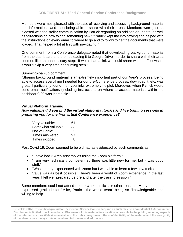Members were most pleased with the ease of receiving and accessing background material and information—and then being able to share with their areas. Members were just as pleased with the stellar communication by Patrick regarding an addition or update, as well as "directions on how to find something new." "Patrick kept the info flowing and helped with the instructions on every email to where to go and to follow to get the documents that were loaded. That helped a lot at first with navigating."

One comment from a Conference delegate noted that downloading background material from the dashboard and then uploading it to Google Drive in order to share with their area seemed like an unnecessary step: "If we all had a link we could share with the Fellowship it would skip a very time-consuming step."

## Summing-it-all-up comment:

"Sharing background material is an extremely important part of our Area's process. Being able to access everything I needed for our pre-Conference process, download it, etc. was great. I particularly found the hyperlinks extremely helpful. Moreover, when Patrick would send email notifications (including instructions on where to access materials within the dashboard) [it] was incredible."

## **Virtual Platform Training**

### *How valuable did you find the virtual platform tutorials and live training sessions in preparing you for the first virtual Conference experience?*

| Very valuable:     | 61 |
|--------------------|----|
| Somewhat valuable: | 33 |
| Not valuable:      | 3  |
| Times answered:    | 97 |
| Times skipped:     | 8  |

Post Covid-19, Zoom seemed to be old hat, as evidenced by such comments as:

- "I have had 3 Area Assemblies using the Zoom platform."
- "I am very technically competent so there was little new for me, but it was good stuff."
- "Was already experienced with zoom but I was able to learn a few new tricks
- Value was as best possible. There's been a world of Zoom experience in the last year; I felt well prepared before and after the training session."

Some members could not attend due to work conflicts or other reasons. Many members expressed gratitude for "Mike, Patrick, the whole team" being so "knowledgeable and willing to help."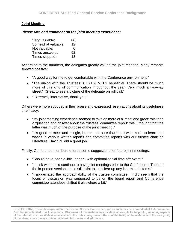## **Joint Meeting**

### *Please rate and comment on the joint meeting experience:*

| Very valuable:     | 80 |
|--------------------|----|
| Somewhat valuable: | 12 |
| Not valuable:      | O  |
| Times answered:    | 92 |
| Times skipped:     | 13 |

According to the numbers, the delegates greatly valued the joint meeting. Many remarks skewed positive:

- "A good way for me to get comfortable with the Conference environment."
- "The dialog with the Trustees is EXTREMELY beneficial. There should be much more of this kind of communication throughout the year! Very much a two-way street." "Great to see a picture of the delegate on roll call."
- "Extremely informative, thank you."

Others were more subdued in their praise and expressed reservations about its usefulness or efficacy:

- "My joint meeting experience seemed to take on more of a 'meet and greet' role than a 'question and answer about the trustees' committee report' role. I thought that the latter was much of the purpose of the joint meeting."
- "It's good to meet and mingle, but I'm not sure that there was much to learn that wasn't in various written reports and committee reports with our trustee chair on Literature. David N. did a great job."

Finally, Conference members offered some suggestions for future joint meetings:

- "Should have been a little longer with optional social time afterward."
- "I think we should continue to have joint meetings prior to the Conference. Then, in the in-person version, could still exist to just clear up any last-minute items."
- "I appreciated the approachability of the trustee committee. It did seem that the focus of discussion was supposed to be on the board report and Conference committee attendees shifted it elsewhere a bit."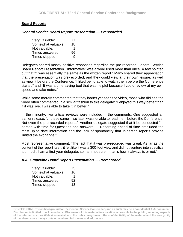### **Board Reports**

#### *General Service Board Report Presentation — Prerecorded*

| Very valuable:     | 77 |
|--------------------|----|
| Somewhat valuable: | 18 |
| Not valuable:      | 1  |
| Times answered:    | 96 |
| Times skipped:     | Q  |

Delegates shared mostly positive responses regarding the pre-recorded General Service Board Report Presentation. "Informative" was a word used more than once. A few pointed out that "it was essentially the same as the written report." Many shared their appreciation that the presentation was pre-recorded, and they could view at their own leisure, as well as view it before the Conference: "I liked being able to watch them before the Conference started" and "It was a time saving tool that was helpful because I could review at my own speed and take notes."

While some merely commented that they hadn't yet seen the video, those who did see the video often commented in a similar fashion to this delegate: "I enjoyed this way better than if it was live. I was able to take it in better."

In the minority, two critical reviews were included in the comments. One suggested an earlier release: "…these came in so late I was not able to read them before the Conference. Not even the pre-recorded reports." Another delegate suggested that it be conducted "In person with time for Questions and answers. ... Recording ahead of time precluded the most up to date information and the lack of spontaneity that in-person reports provide limited the exchange."

Most representative comment: "The fact that it was pre-recorded was great. As far as the content of the report itself, it felt like it was a 300-foot view and did not venture into specifics too much. I am a first-year delegate, so I am not sure if that is how it always is or not."

#### *A.A. Grapevine Board Report Presentation — Prerecorded*

| Very valuable:     | 75 |
|--------------------|----|
| Somewhat valuable: | 16 |
| Not valuable:      | 1  |
| Times answered:    | 92 |
| Times skipped:     | 13 |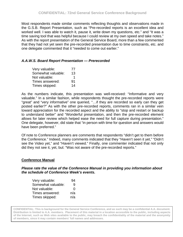Most respondents made similar comments reflecting thoughts and observations made in the G.S.B. Report Presentation, such as "Pre-recorded reports is an excellent idea and worked well. I was able to watch it, pause it, write down my questions, etc." and "It was a time saving tool that was helpful because I could review at my own speed and take notes." As with the report presentation of the General Service Board, more than a few commented that they had not yet seen the pre-recorded presentation due to time constraints, etc. and one delegate commented that it "needed to come out earlier."

### *A.A.W.S. Board Report Presentation — Prerecorded*

| Very valuable:     | 77 |
|--------------------|----|
| Somewhat valuable: | 13 |
| Not valuable:      | 1  |
| Times answered:    | 91 |
| Times skipped:     | 14 |

As the numbers indicate, this presentation was well-received: "Informative and very valuable." In a similar fashion, while respondents thought the pre-recorded reports were "great" and "very informative" one queried, "…if they are recorded so early can they get posted earlier?" As with the other pre-recorded reports, comments ran in a similar vein toward appreciation for the recorded aspect and the ability to "stop and restart or backup to understand better" and "Wonderful presentation, and then the pre-recorded element allows for later review which helped ease the need for full capture during presentation." One delegate, however, did state that "in person with time for question and answers would have been preferred."

Of note to Conference planners are comments that respondents "didn't get to them before the Conference." Indeed, many comments indicated that they "Haven't seen it yet," "Didn't see the Video yet," and "Haven't viewed." Finally, one commenter indicated that not only did they not see it, yet, but: "Was not aware of the pre-recorded reports."

#### **Conference Manual**

*Please rate the value of the Conference Manual in providing you information about the schedule of Conference Week's events.*

| Very valuable:     | 94  |
|--------------------|-----|
| Somewhat valuable: | 9   |
| Not valuable:      | 0   |
| Times answered:    | n/a |
| Times skipped:     | n/a |
|                    |     |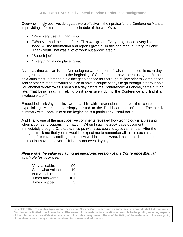Overwhelmingly positive, delegates were effusive in their praise for the Conference Manual in providing information about the schedule of the week's events.

- "Very, very useful. Thank you."
- "Whoever had the idea of this. This was great!! Everything I need, every link I need. All the information and reports given all in this one manual. Very valuable. Thank you!! That was a lot of work but appreciated."
- "Superb job"
- "Everything in one place, great."

As usual, time was an issue. One delegate wanted more: "I wish I had a couple extra days to digest the manual prior to the beginning of Conference. I have been using the Manual as a consistent reference but didn't get a chance for thorough review prior to Conference." And another felt that "It would be nice to have a couple of days to go through it thoroughly." Still another wrote: "Was it sent out a day before the Conference? As above, came out too late. That being said, I'm relying on it extensively during the Conference and find it an invaluable tool."

Embedded links/hyperlinks were a hit with respondents: "Love the content and hyperlinking. More can be simply posted to the Dashboard earlier" and "The handy summary with Zoom links at the beginning is a particularly useful tool."

And finally, one of the most positive comments revealed how technology is a blessing when it comes to copious information: "When I saw the 200+ page document I immediately thought*, Oh no, here we go with even more to try to remember.* After the thought struck me that you all wouldn't expect me to remember all this in such a short amount of time (and scrolling to see how well laid out it was), it has turned into one of the best tools I have used yet .... it is only not even day 1 yet!!"

#### *Please rate the value of having an electronic version of the Conference Manual available for your use.*

| Very valuable:     | 90  |
|--------------------|-----|
| Somewhat valuable: | 10  |
| Not valuable:      | 1   |
| Times answered:    | 101 |
| Times skipped:     | 3   |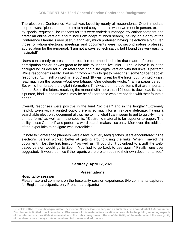The electronic Conference Manual was loved by nearly all respondents. One immediate request was: "please do not return to hard copy manuals when we meet in person, except by special request." The reasons for this were varied: "I manage my carbon footprint and prefer an online version" and "Since I am adept at 'word search,' having an e-copy of the Conference Manual is very useful" and "very much preferred having it electronically." Even those for whom electronic meetings and documents were not second nature professed appreciation for the e-manual: "I am not always so tech savvy, but I found this very easy to navigate!!"

Users consistently expressed appreciation for embedded links that made references and participation easier: "It was great to be able to use the live links. ... I could have it up in the background all day for quick reference" and "The digital version with hot links is perfect." While respondents really liked using "Zoom links to get to meetings," some "paper people" responded "…. I still printed mine out" and "[It was] great for the links, but I printed - can't read much on the screen w/out eye fatigue." One delegate wrote, "I am a paper person. So, while I embrace the digital information, I'll always print those items that are important for me. So, in the future, receiving the manual with more than 12 hours to download it, have it printed, bind it, and review it, may be helpful for those who are bonded with their fountain pens."

Overall, responses were positive in the brief "So clear" and in the lengthy "Extremely helpful. Even with a printed copy, there is so much for a first-year delegate, having a searchable electronic document allows me to find what I can't seem to get to quickly in the printed form," as well as in the specific: "Electronic material is far superior to paper. The ability to use Control F and perform a word search makes it so easy. Moreover, the addition of the hyperlinks to navigate was incredible."

Of note to Conference planners were a few (but very few) glitches users encountered: "The electronic version worked better at getting around using the links. When I saved the document, I lost the link function" as well as: "If you didn't download to a .pdf the webbased version would go to Zoom. You had to go back to use again." Finally, one user suggested: "It would be nice if the reports were broken out into their own documents, too."

## **Saturday, April 17, 2021**

## **Presentations**

#### **Hospitality session**

Please rate and comment on the hospitality session experience. (No comments captured for English participants, only French participants)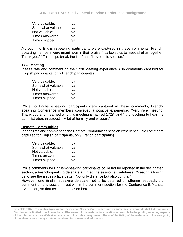| Very valuable:     | n/a |
|--------------------|-----|
| Somewhat valuable: | n/a |
| Not valuable:      | n/a |
| Times answered:    | n/a |
| Times skipped:     | n/a |

Although no English-speaking participants were captured in these comments, Frenchspeaking members were unanimous in their praise: "It allowed us to meet all of us together. Thank you," "This helps break the ice!" and "I loved this session."

### **1728 Meeting**

Please rate and comment on the 1728 Meeting experience. (No comments captured for English participants, only French participants)

| Very valuable:     | n/a |
|--------------------|-----|
| Somewhat valuable: | n/a |
| Not valuable:      | n/a |
| Times answered:    | n/a |
| Times skipped:     | n/a |

While no English-speaking participants were captured in these comments, Frenchspeaking Conference members conveyed a positive experience: "Very nice meeting. Thank you and I learned why this meeting is named 1728" and "It is touching to hear the administrators (trustees)…A lot of humility and wisdom."

#### **Remote Communities**

Please rate and comment on the Remote Communities session experience. (No comments captured for English participants, only French participants)

| Very valuable:     | n/a |
|--------------------|-----|
| Somewhat valuable: | n/a |
| Not valuable:      | n/a |
| Times answered:    | n/a |
| Times skipped:     | n/a |

While comments for English-speaking participants could not be reported in the designated section, a French-speaking delegate affirmed the session's usefulness: "Meeting allowing us to see the issues a little better. Not only distance but also cultural!"

However, one English-speaking delegate, not to be deterred on offering feedback, did comment on this session – but within the comment section for the Conference E-Manual Evaluation, so that text is transposed here: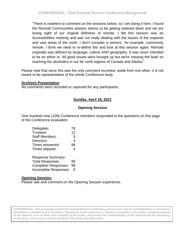"There is nowhere to comment on the sessions below, so I am doing it here. I found the Remote Communities session seems to be getting watered down and we are losing sight of our original definition of remote. I felt this session was an Accessibilities meeting and was not really dealing with the issues of the expanse and vast areas of the north. I don't consider a seniors', for example, community remote. I think we need to re-define this and look at this session again. Remote originally was defined by language, culture AND geography. It was never intended to be an either or. All good issues were brought up but we're 'missing the boat' on reaching the alcoholics in our far north regions of Canada and Alaska."

Please note that since this was the only comment recorded, aside from one other, it is not meant to be representative of the whole Conference body.

### **Archives Presentation**

No comments were recorded or captured for any participants.

# **Sunday, April 18, 2021**

## **Opening Session**

One hundred nine (109) Conference members responded to the questions on this page of the Conference evaluation:

| Delegates:                  | 78 |
|-----------------------------|----|
| Trustees:                   | 12 |
| <b>Staff Members:</b>       | 5  |
| Directors:                  | 4  |
| Times answered:             | 98 |
| Times skipped:              | 4  |
| <b>Response Summary:</b>    |    |
| <b>Total Responses</b>      | 99 |
| <b>Completer Responses:</b> | 99 |

Incomplete Responses: 0

## **Opening Session:**

Please rate and comment on the Opening Session experience.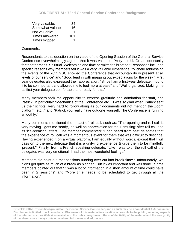| Very valuable:     | 84  |
|--------------------|-----|
| Somewhat valuable: | 16  |
| Not valuable:      |     |
| Times answered:    | 101 |
| Times skipped:     |     |

### Comments:

Respondents to this question on the value of the Opening Session of the General Service Conference overwhelmingly agreed that it was valuable: "Very useful. Great opportunity for togetherness. Spiritual. Welcoming and time permitted to breathe." Responses included specific reasons why members felt it was a very valuable experience: "Michele addressing the events of the 70th GSC showed the Conference that accountability is present at all levels of our service" and "Good lead in with mapping out expectations for the week." First year delegates also expressed their appreciation: "Since I am a first-year delegate, I found it to be so important and allowed me to feel more at ease" and "Well organized. Making me as first year delegate comfortable and ready for this."

Many members took the opportunity to express gratitude and admiration for staff, and Patrick, in particular: "Mechanics of the Conference etc... I was so glad when Patrick sent us their scripts. Very hard to follow along as our documents did not mention the Zoom platform, etc..." and "Patrick you really have outdone yourself. The Conference is running smoothly."

Many comments mentioned the impact of roll call, such as: "The opening and roll call is very moving - gets me 'ready,' as well as appreciation for the 'unmuting' after roll call and its 'ice-breaking' effect. One member commented: "I had heard from past delegates that the experience of roll call was a momentous event for them that was difficult to describe. Having experienced it on a virtual platform, I am equally without words, except that I will pass on to the next delegate that it is a unifying experience & urge them to be mindfully 'present.'" Finally, from a French speaking delegate: "Like I was told, the roll call of the delegates was very emotional. I had the most wonderful feelings."

Members did point out that sessions running over cut into break time: "Unfortunately, we didn't get quite as much of a break as planned. But it was important and well done." Some members pointed out that "It was a lot of information in a short amount of time could have been in 2 sessions" and "More time needs to be scheduled to get through all the information."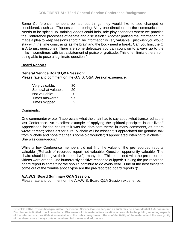Some Conference members pointed out things they would like to see changed or considered, such as "The session is boring. Very one directional in the communication. Needs to be spiced up, training videos could help, role play scenarios where we practice the Conference processes of debate and discussion." Another praised the information but made a plea to keep sessions short: "The information is very valuable. I just wish you would stay with the time constraints as the brain and the body need a break. Can you limit the Q & A to just questions? There are some delegates you can count on to always go to the mike -- sometimes with just a statement of praise or gratitude. This often limits others from being able to pose a legitimate question."

## **Board Reports**

## **General Service Board Q&A Session:**

Please rate and comment on the G.S.B. Q&A Session experience.

| Very valuable:     | 80 |
|--------------------|----|
| Somewhat valuable: | 20 |
| Not valuable:      | O  |
| Times answered:    | 97 |
| Times skipped:     | 2  |

Comments:

One commenter wrote: "I appreciate what the chair had to say about what transpired at the last Conference. An excellent example of applying the spiritual principles in our lives." Appreciation for the chair's talk was the dominant theme in many comments, as others wrote: "great"; "class act for sure, Michele will be missed"; "I appreciated the genuine talk from Michele and hope that heals some old wounds"; "I appreciated listening to Michele G. She was courageous."

While a few Conference members did not find the value of the pre-recorded reports valuable ("Rehash of recorded report not valuable. Question opportunity valuable. The chairs should just give their report live"), many did: "This combined with the pre-recorded videos were great." One humorously positive response quipped: "Having the pre-recorded board report is something we should continue to do every year. One of the best things to come out of the zombie apocalypse are the pre-recorded board reports :)"

## **A.A.W.S. Board Summary Q&A Session:**

Please rate and comment on the A.A.W.S. Board Q&A Session experience.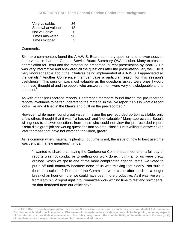| Very valuable:     | 86 |
|--------------------|----|
| Somewhat valuable: | 13 |
| Not valuable:      | O  |
| Times answered:    | 96 |
| Times skipped:     | 3  |

### Comments:

Six more commenters found the A.A.W.S. Board summary question and answer session more valuable than the General Service Board Summary Q&A session. Many expressed appreciation for Beau and the material he presented: "Great presentation by Beau B. He was very informative and answered all the questions after the presentation very well. He is very knowledgeable about the initiatives being implemented at A.A.W.S. I appreciated all the details." Another Conference member gave a particular reason for this session's usefulness: "This session was most valuable as the questions asked were ones I would not [have] thought of and the people who answered them were very knowledgeable and to the point."

As with other pre-recorded reports, Conference members found having the pre-recorded reports invaluable to better understand the material in the live report: "This is what a report looks like and it filled in the blanks and built on the pre-recorded."

However, while many found great value in having the pre-recorded portion available, only a few others thought that it was "re-hashed" and "not valuable." Many appreciated Beau's willingness to answer questions from those who could not view the pre-recorded report: "Beau did a great job answering questions and so enthusiastic. He is willing to answer even later for those that have not watched the video, great!"

As is common when material is plentiful, but time is not, the issue of how to best use time was central in a few members' minds:

"I wanted to share that having the Conference Committees meet after a full day of reports was not conducive to getting our work done. I think all of us were pretty drained. When we got to one of the more complicated agenda items, we voted to put it off until tomorrow because none of us was thinking that clearly. Not sure if there is a solution? Perhaps if the Committee work came after lunch or a longer break of an hour or more, we could have been more productive. As it was, we went from Kathi's GV report right into Committee work with no time to rest and shift gears, so that detracted from our efficiency."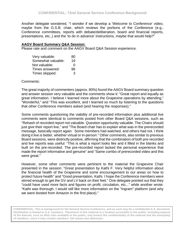Another delegate wondered, "I wonder if we develop a 'Welcome to Conference' video, maybe from the G.S.B. chair, which reviews the portions of the Conference (e.g., Conference committees, reports with debate/deliberation, board and financial reports, presentations, etc.,) and the 'to do in advance' instructions, maybe that would help?"

#### **AAGV Board Summary Q&A Session:**

Please rate and comment on the AAGV Board Q&A Session experience.

| Very valuable:     | 80 |
|--------------------|----|
| Somewhat valuable: | 19 |
| Not valuable:      | 0  |
| Times answered:    | 96 |
| Times skipped:     | 3  |

Comments:

The great majority of commenters (approx. 80%) found the AAGV Board summary question and answer session very valuable and the comments show it: "Great report and equally as great information. I believe I learned more about the Grapevine operations by attending," "Wonderful," and "This was excellent, and I learned so much by listening to the questions that other Conference members asked (and hearing the responses)."

Some comments questioning the viability of pre-recorded information plus additional live comments were identical to comments posted from other Board Q&A sessions, such as "Rehash of recorded report not valuable. Question opportunity valuable. The Chairs should just give their report live," and "The Board chair has to explain what was in the prerecorded message, basically report again. Some members had watched, and others had not. I think doing it live is better, whether virtual or in-person." Other comments, also similar to previous Board sessions, were distinctly positive, affirming that the combination of both pre-recorded and live reports was useful: "This is what a report looks like and it filled in the blanks and built on the pre-recorded. The pre-recorded report lacked the personal experience that made the report informative and genuine" and "Same combo of prerecorded video and this were great."

However, some other comments were pertinent to the material the Grapevine Chair presented in the session: "Great presentation by Kathi F. Very helpful information about the financial health of the Grapevine and some encouragement to our areas on how to protect future health" and "Good presentation, Kathi. I hope the Conference members were stirred enough to get the GV and LV back on their feet." One delegate pointed out that they "could have used more facts and figures on profit, circulation, etc..." while another wrote: "Kathi was thorough. I would still like more information on the "Ingram" platform (and why we were booted from Amazon in the first place)."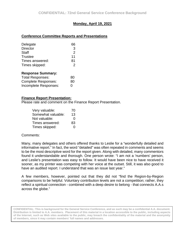## **Monday, April 19, 2021**

### **Conference Committee Reports and Presentations**

| Delegate                 | 66             |
|--------------------------|----------------|
| <b>Director</b>          | 3              |
| <b>Staff</b>             | $\overline{2}$ |
| <b>Trustee</b>           | 11             |
| Times answered:          | 81             |
| Times skipped:           | $\mathcal{P}$  |
| <b>Response Summary:</b> |                |

| <b>Total Responses:</b>    | 80           |
|----------------------------|--------------|
| <b>Complete Responses:</b> | 80           |
| Incomplete Responses:      | $\mathbf{0}$ |

#### **Finance Report Presentation:**

Please rate and comment on the Finance Report Presentation.

| Very valuable:     | 70            |
|--------------------|---------------|
| Somewhat valuable: | 13            |
| Not valuable:      | 0             |
| Times answered:    | 83            |
| Times skipped:     | $\mathcal{L}$ |

#### Comments:

Many, many delegates and others offered thanks to Leslie for a "wonderfully detailed and informative report." In fact, the word "detailed" was often repeated in comments and seems to be the most descriptive word for the report given. Along with detailed, many commentors found it understandable and thorough. One person wrote: "I am not a 'numbers' person, and Leslie's presentation was easy to follow. It would have been nice to have received it sooner, as my printer was competing with her voice at the outset. Still, it was also good to have an audited report. I understand that was an issue last year."

A few members, however, pointed out that they did not "find the Region-by-Region comparisons to be helpful. Voluntary contribution levels are not a competition; rather, they reflect a spiritual connection - combined with a deep desire to belong - that connects A.A.s across the globe."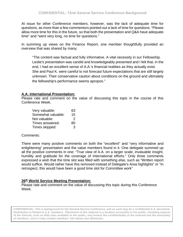At issue for other Conference members, however, was the lack of adequate time for questions, as more than a few commentors pointed out a lack of time for questions: "Please allow more time for this in the future, so that both the presentation and Q&A have adequate time" and "went very long, no time for questions."

In summing up views on the Finance Report, one member thoughtfully provided an overview that was shared by many:

"The content was factual and fully informative. A vital necessity in our Fellowship. Leslie's presentation was candid and knowledgeably presented and I felt that, in the end, I had an excellent sense of A.A.'s financial realities as they actually exist. She and Paul K. were careful to not forecast future expectations that are still largely unknown. Their conservative caution about conditions on the ground and ultimately the fellowship's performance seems apropos."

### **A.A. International Presentation:**

Please rate and comment on the value of discussing this topic in the course of this Conference Week.

| Very valuable:     | 63 |
|--------------------|----|
| Somewhat valuable: | 15 |
| Not valuable:      | 2  |
| Times answered:    | 80 |
| Times skipped:     | 3  |

#### Comments:

There were many positive comments on both the "excellent" and "very informative and enlightening" presentation and the value members found in it. One delegate summed up all the positive comments in one: "True view of A.A. on a larger scale, invaluable insight, humility and gratitude for the coverage of International efforts." Only three comments expressed a wish that the time slot was filled with something else, such as "Written report would suffice. Would rather have this removed instead of Delegate's Area highlights" or "In retrospect, this would have been a good time slot for Committee work"

## **26th World Service Meeting Presentation:**

Please rate and comment on the value of discussing this topic during this Conference Week.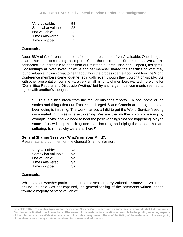| Very valuable:     | 55 |
|--------------------|----|
| Somewhat valuable: | 23 |
| Not valuable:      | 3  |
| Times answered:    | 78 |
| Times skipped:     | 2  |

### Comments:

About 68% of Conference members found the presentation "very" valuable. One delegate shared her emotions during the report: "Cried the entire time. So emotional. We are all connected. So incredible to hear from our trustees-at-large. Inspiring, Hopeful, Insightful, Goosebumps all over, loved it," while another member shared the specifics of what they found valuable: "It was great to hear about how the process came about and how the World Conference members came together spiritually even though they couldn't physically." As with other presentation comments, a very small minority of members wanted more time for "Committee Reports and Discussion/Voting," but by and large, most comments seemed to agree with another's thought:

"… This is a nice break from the regular business reports...To hear some of the stories and things that our Trustees-at-Large/US and Canada are doing and have been doing is inspiring. The work that you all did to get the World Service Meeting coordinated in 7 weeks is astonishing. We are the 'mother ship' so leading by example is vital and we need to hear the positive things that are happening. Maybe some of us will stop nitpicking and start focusing on helping the people that are suffering. Isn't that why we are all here?"

#### **General Sharing Session - What's on Your Mind?:**

Please rate and comment on the General Sharing Session.

| Very valuable:     | n/a |
|--------------------|-----|
| Somewhat valuable: | n/a |
| Not valuable:      | n/a |
| Times answered:    | n/a |
| Times skipped:     | n/a |

#### Comments:

While data on whether participants found the session Very Valuable, Somewhat Valuable, or Not Valuable was not captured, the general feeling of the comments written tended toward a majority of "very valuable:"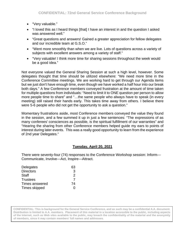- "Very valuable."
- "I loved this as I heard things [that] I have an interest in and the question I asked was answered well."
- "Great questions and answers! Gained a greater appreciation for fellow delegates and our incredible team at G.S.O."
- "Went more smoothly than when we are live. Lots of questions across a variety of subjects with excellent answers among a variety of staff."
- "Very valuable! I think more time for sharing sessions throughout the week would be a good idea."

Not everyone valued the General Sharing Session at such a high level, however. Some delegates thought that time should be utilized elsewhere: "We need more time in the Conference Committee meetings. We are working hard to get through our Agenda items but we just don't have enough time, even though we have worked a half hour into our break both days." A few Conference members conveyed frustration at the amount of time taken for multiple questions from individuals: "Need to limit it to ONE question per person to allow more people time to share" and "…the same people who always have to speak (in every meeting) still raised their hands early. This takes time away from others. I believe there were 5-6 people who did not get the opportunity to ask a question."

Momentary frustrations aside, most Conference members conveyed the value they found in the session, and a few summed it up in just a few sentences: "The expressions of as many conferees' consciences as possible, is the spiritual fulfillment of our warranties" and "Hearing the sharing from other Conference members helped guide my ears to points of interest during later events. This was a really good opportunity to learn from the experience of 2nd year Delegates."

## **Tuesday, April 20, 2021**

There were seventy-four (74) responses to the Conference Workshop session: Inform— Communicate, Involve—Act, Inspire—Attract.

| Delegates        | 63 |
|------------------|----|
| <b>Directors</b> | 3  |
| <b>Staff</b>     | 2  |
| <b>Trustees</b>  | 7  |
| Times answered   | 74 |
| Times skipped    | 0  |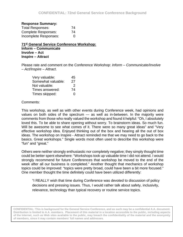#### **Response Summary:**

| <b>Total Responses:</b>    | 74 |
|----------------------------|----|
| <b>Complete Responses:</b> | 74 |
| Incomplete Responses:      | 0  |

**71st General Service Conference Workshop: Inform** *–* **Communicate Involve** *–* **Act Inspire** *–* **Attract**

Please rate and comment on the Conference Workshop: *Inform – Communicate/Involve – Act/Inspire – Attract*.

| Very valuable:     | 45 |
|--------------------|----|
| Somewhat valuable: | 27 |
| Not valuable:      | 2  |
| Times answered:    | 74 |
| Times skipped:     | O  |

#### Comments:

This workshop, as well as with other events during Conference week, had opinions and values on both sides of the spectrum — as well as in-between. In the majority were comments from those who really valued the workshop and found it helpful: "Oh, I absolutely loved this. To be able to share opening without worry. To brainstorm ideas. So much fun. Will be awesome to see what comes of it. There were so many great ideas" and "Very effective workshop idea. Enjoyed thinking out of the box and hearing all the out of box ideas. The workshop on Inspire - Attract reminded me that we may need to go back to the basics. Great workshops." Single words most often used to describe this workshop were "fun" and "great."

Others were neither strongly enthusiastic nor completely negative; they simply thought time could be better spent elsewhere: "Workshops took up valuable time I did not attend. I would strongly recommend for future Conferences that workshop be moved to the end of the week after all our business is completed." Another thought that mechanics of workshop topics could be improved: "topics were pretty broad, could have been a bit more focused." One member thought the time definitely could have been utilized differently:

"I REALLY wish that time during Conference was devoted to discussion of policy decisions and pressing issues. Thus, I would rather talk about safety, inclusivity, relevance, technology than typical recovery or routine service topics.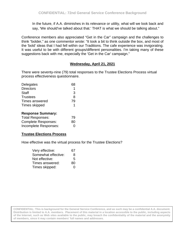In the future, if A.A. diminishes in its relevance or utility, what will we look back and say, 'We should've talked about that.' THAT is what we should be talking about."

Conference members also appreciated "Get in the Car" campaign and the challenges to think "bolder," as one commentor wrote: "It took a bit to think outside the box, and most of the 'bold' ideas that I had fell within our Traditions. The cafe experience was invigorating. It was useful to be with different groups/different personalities. I'm taking many of these suggestions back with me, especially the 'Get in the Car' campaign."

## **Wednesday, April 21, 2021**

There were seventy-nine (79) total responses to the Trustee Elections Process virtual process effectiveness questionnaire.

| Delegates                | 68 |
|--------------------------|----|
| <b>Directors</b>         |    |
| <b>Staff</b>             | 3  |
| <b>Trustees</b>          | 8  |
| Times answered           | 79 |
| Times skipped            |    |
| <b>Response Summary:</b> |    |
| <b>Total Responses:</b>  |    |
|                          |    |

| <b>Complete Responses:</b> | -80      |
|----------------------------|----------|
| Incomplete Responses:      | $\Omega$ |

## **Trustee Elections Process**

How effective was the virtual process for the Trustee Elections?

| Very effective:     | 67 |
|---------------------|----|
| Somewhat effective: | 8  |
| Not effective:      | 5  |
| Times answered:     | 80 |
| Times skipped:      | 0  |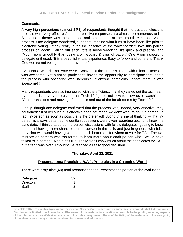## Comments:

A very high percentage (almost 84%) of respondents thought that the trustees' elections process was "very effective," and the positive responses are almost too numerous to list. A dominant theme was the gratitude and amazement at the smooth electronic voting process. One delegate wondered, "I cannot imagine what it must have been like prior to electronic voting." Many really loved the absence of the whiteboard: "I love this polling process on Zoom. Calling out each vote is nerve wracking! It's quick and precise" and "Much more smoothly than using a whiteboard & slips of paper." One French speaking delegate enthused, "It is a beautiful virtual experience. Easy to follow and coherent. Thank God we are not voting on paper anymore."

Even those who did not vote were "Amazed at the process. Even with minor glitches...it was awesome. Not a voting participant, having the opportunity to participate throughout the process with observing was incredible. If anyone complains...ignore them. It was awesome!!!"

Many respondents were so impressed with the efficiency that they called out the tech team by name: "I am very impressed that Tech 12 figured out how to allow us to watch" and "Great transitions and moving of people in and out of the break rooms by Tech 12."

Finally, though one delegate confirmed that the process was, indeed, very effective, they cautioned: "Just because it is effective does not mean we don't want to do it in person! In fact, in-person as soon as possible is the preferred!" Along this line of thinking — that inperson is always better, some gentle suggestions were given regarding getting to know the candidate: "I think that person to person discussions with fellow delegates, getting to know them and having them share person to person in the halls and just in general with folks they chat with would have given me a much better feel for whom to vote for TAL. The two minutes on camera was too formal to learn more about each person who I would have talked to in person." Also, "I felt like I really didn't know much about the candidates for TAL, but after it was over, I thought we reached a really good decision!"

## **Thursday, April 22, 2021**

## **Presentations: Practicing A.A.'s Principles in a Changing World**

There were sixty-nine (69) total responses to the Presentations portion of the evaluation.

| Delegates        | 59 |
|------------------|----|
| <b>Directors</b> |    |
| <b>Staff</b>     | 2  |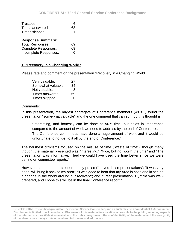| <b>Trustees</b>            | 6  |
|----------------------------|----|
| Times answered             | 68 |
| Times skipped              | 1  |
| <b>Response Summary:</b>   |    |
| <b>Total Responses:</b>    | 69 |
| <b>Complete Responses:</b> | 69 |
| Incomplete Responses:      |    |

## **1. "Recovery in a Changing World"**

Please rate and comment on the presentation "Recovery in a Changing World"

| Very valuable:     | 27            |
|--------------------|---------------|
| Somewhat valuable: | 34            |
| Not valuable:      | 8             |
| Times answered:    | 69            |
| Times skipped:     | $\mathcal{L}$ |

#### Comments:

In this presentation, the largest aggregate of Conference members (49.3%) found the presentation "somewhat valuable" and the one comment that can sum up this thought is:

"Interesting, and honestly can be done at ANY time, but pales in importance compared to the amount of work we need to address by the end of Conference. The Conference committees have done a huge amount of work and it would be unfortunate to not get to it all by the end of Conference."

The harshest criticisms focused on the misuse of time ("waste of time"), though many thought the material presented was "interesting:" "Nice, but not worth the time" and "The presentation was informative, I feel we could have used the time better since we were behind on committee reports."

However, some comments offered only praise ("I loved these presentations"; "it was very good, will bring it back to my area"; "it was good to hear that my Area is not alone in seeing a change in the world around our recovery"; and "Great presentation. Cynthia was wellprepared, and I hope this will be in the final Conference report."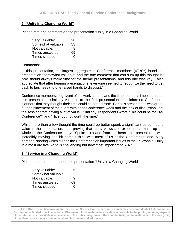## **2. "Unity in a Changing World"**

Please rate and comment on the presentation "Unity in a Changing World"

| Very valuable:     | 28                |
|--------------------|-------------------|
| Somewhat valuable: | 33                |
| Not valuable:      | 8                 |
| Times answered:    | 69                |
| Times skipped:     | $\mathbf{\Omega}$ |

### Comments:

In this presentation, the largest aggregate of Conference members (47.8%) found the presentation "somewhat valuable" and the one comment that can sum up this thought is: "We should always make time for the theme presentations, and this one was key. I also appreciate that after hearing presentations, everyone seemed to recognize the need to get back to business (no one raised hands to discuss)."

Conference members, cognizant of the work at hand and the time restraints imposed, rated this presentation similarly valuable to the first presentation, and informed Conference planners that they thought their time could be better used: "Carlos's presentation was great, but the placement of the event within the Conference week and the lack of discussion kept the session from having a lot of value." Similarly, respondents wrote "This could be for Pre-Conference?" and "Nice, but not worth the time."

While more than a few thought the time could be better spent, a significant portion found value in the presentation, thus proving that many views and experiences make up the whole of the Conference body: "Spoke truth and from the heart—his presentation was incredibly moving and hit home I think with most of us at the Conference" and "Very personal sharing which guides the Conference on important issues to the Fellowship. Unity in a most divisive world is challenging but now most important to A.A."

#### **3. "Service in a Changing World"**

Please rate and comment on the presentation "Unity in a Changing World"

| Very valuable:     | 25 |
|--------------------|----|
| Somewhat valuable: | 32 |
| Not valuable:      | 9  |
| Times answered:    | 69 |
| Times skipped:     | O  |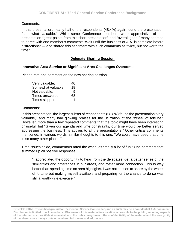### Comments:

In this presentation, nearly half of the respondents (48.4%) again found the presentation "somewhat valuable." While some Conference members were appreciative of the presentation "great points from this short presentation" and "overall good," many seemed to agree with one member's comment: "Wait until the business of A.A. is complete before distractions" — and shared this sentiment with such comments as "Nice, but not worth the time."

### **Delegate Sharing Session**

### **Innovative Area Service or Significant Area Challenges Overcome:**

Please rate and comment on the new sharing session.

| Very valuable:     | 40 |
|--------------------|----|
| Somewhat valuable: | 19 |
| Not valuable:      | q  |
| Times answered:    | 68 |
| Times skipped:     |    |

#### Comments:

In this presentation, the largest subset of respondents (58.8%) found the presentation "very valuable," and many had glowing praises for the utilization of the "wheel of fortune." However, more than a few repeated comments that the topic might have been interesting or useful, but "Given our agenda and time constraints, our time would be better served addressing the business. This applies to all the presentations." Other critical comments mentioned, in various words, similar thoughts to this one: "We could have used that time in so many other places."

Time issues aside, commentors rated the wheel as "really a lot of fun!" One comment that summed up all positive responses:

"I appreciated the opportunity to hear from the delegates, get a better sense of the similarities and differences in our areas, and foster more connection. This is way better than spending time on area highlights. I was not chosen to share by the wheel of fortune but making myself available and preparing for the chance to do so was still a worthwhile exercise."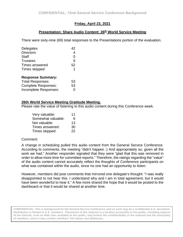## **Friday, April 23, 2021**

### **Presentation: Share Audio Content: 26<sup>th</sup> World Service Meeting**

There were sixty-nine (69) total responses to the Presentations portion of the evaluation.

| Delegates                  | 42 |
|----------------------------|----|
| <b>Directors</b>           | 4  |
| <b>Staff</b>               | 0  |
| <b>Trustees</b>            | 6  |
| Times answered             | 52 |
| Times skipped              | 1  |
| <b>Response Summary:</b>   |    |
| <b>Total Responses:</b>    | 53 |
| <b>Complete Responses:</b> | 53 |
| Incomplete Responses:      | O  |

#### **26th World Service Meeting Gratitude Meeting.**

Please rate the value of listening to this audio content during this Conference week.

| Very valuable:     | 11 |
|--------------------|----|
| Somewhat valuable: | 6  |
| Not valuable:      | 13 |
| Times answered:    | 30 |
| Times skipped:     | 22 |

#### Comment:

A change in scheduling pulled this audio content from the General Service Conference. According to comments, the meeting "didn't happen :) And appropriately so, given all the work we had." Another responder signaled that they were "glad that this was removed in order to allow more time for committee reports." Therefore, the ratings regarding the "value" of the audio content cannot accurately reflect the thoughts of Conference participants on what was contained within the audio, since no one had an opportunity to listen.

However, members did post comments that mirrored one delegate's thought: "I was really disappointed to not hear this. I understand why and I am in total agreement, but it would have been wonderful to hear it." A few more shared the hope that it would be posted to the dashboard or that it would be shared at another time.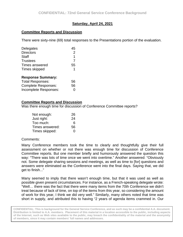## **Saturday, April 24, 2021**

### **Committee Reports and Discussion**

There were sixty-nine (69) total responses to the Presentations portion of the evaluation.

| Delegates                  | 45             |
|----------------------------|----------------|
| <b>Directors</b>           | $\overline{2}$ |
| <b>Staff</b>               | 1              |
| <b>Trustees</b>            | $\overline{7}$ |
| Times answered             | 55             |
| Times skipped              | 1              |
| <b>Response Summary:</b>   |                |
| <b>Total Responses:</b>    | 56             |
| <b>Complete Responses:</b> | 56             |

Incomplete Responses: 0

### **Committee Reports and Discussion**

Was there enough time for discussion of Conference Committee reports?

| Not enough:     | 26 |
|-----------------|----|
| Just right:     | 24 |
| Too much:       | 6  |
| Times answered: | 56 |
| Times skipped:  | O  |

#### Comments:

Many Conference members took the time to clearly and thoughtfully give their full assessment on whether or not there was enough time for discussion of Conference Committee reports. But one member briefly and humorously answered the question this way: "There was lots of time once we went into overtime." Another answered: "Obviously not. Some delegate sharing sessions and meetings, as well as time to [for] questions and answers were eliminated as the Conference went into the final days. Saying that, we did get to finish..."

Many seemed to imply that there wasn't enough time, but that it was used as well as possible given present circumstances. For instance, as a French-speaking delegate wrote: "Well… there was the fact that there were many items from the 70th Conference we didn't treat because of lack of time, on top of the items from this year, so considering the amount of work for this year, I think we did very well." Similarly, many others noted that time was short in supply, and attributed this to having "2 years of agenda items crammed in. Our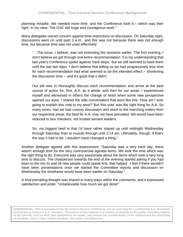planning mistake. We needed more time, and the Conference took it— which was their right, in my view. The GSC did huge and courageous work."

Many delegates voiced concern against time-restrictions on discussion. On Saturday night, discussions went on until past 2 a.m., and this was not because there was not enough time, but because time was not used effectively:

"…The issue, I believe, was not extending the sessions earlier. The first evening, I don't believe we got through one entire recommendation. It is my understanding that last year's Conference spoke against 'hard stops,' but we still seemed to have them until the last two days. I don't believe that telling us we had progressively less time for each recommendation had what seemed to be the intended effect -- shortening the discussion time -- and it's good that it didn't.

Our job was to thoroughly discuss each recommendation and arrive at the best course of action for, first, A.A. as a whole, and then for our areas. I experienced myself and witnessed in others the change of heart when some new perspective opened our eyes. I shared the side conversation that went like this: 'How am I ever going to explain this vote to my area?' But 'this vote' was the right thing for A.A. So many times, had we had cursory discussion and stuck to the marching orders from our respective areas, the best for A.A. may not have prevailed. We would have been reduced to box checkers, not trusted servant leaders.

So, my biggest beef is that I'd have rather stayed up until midnight Wednesday through Saturday than to muscle through until 2:14 am. Ultimately, though, if that's the way it had to be, I wouldn't have changed a thing."

Another delegate agreed with this assessment: "Saturday was a very hard day, there wasn't enough time for the very controversial agenda items. We took the time which was the right thing to do. Everyone was very passionate about the items which took a very long time to discuss. The chairperson towards the end of the evening started asking if you had been to the mic to wait till new people could speak first, that helped. I feel if there wouldn't have been presentations once we started the Committee reports and discussion on Wednesday the timeframe would have been earlier on Saturday."

A final prevailing thought was shared in many ways within the comments, and it expressed satisfaction and pride: "Unbelievable how much we got done!"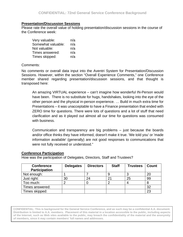#### **Presentation/Discussion Sessions**

Please rate the overall value of holding presentation/discussion sessions in the course of the Conference week:

| Very valuable:     | n/a |
|--------------------|-----|
| Somewhat valuable: | n/a |
| Not valuable:      | n/a |
| Times answered:    | n/a |
| Times skipped:     | n/a |

#### Comments:

No comments or overall data input into the Aventri System for Presentation/Discussion Sessions. However, within the section "Overall Experience Comments," one Conference member shared regarding presentation/discussion sessions, and that thought is transposed here:

An amazing VIRTUAL experience – can't imagine how wonderful IN-Person would have been. There is no substitute for hugs, handshakes, looking into the eye of the other person and the physical in-person experience. … Build in much extra time for Presentations – it was unacceptable to have a Finance presentation that ended with ZERO time for questions. There were lots of questions and a lot of stuff that need clarification and as it played out almost all our time for questions was consumed with business.

Communication and transparency are big problems – just because the boards and/or office thinks they have informed, doesn't make it true. 'We told you' or 'made information available' (generally) are not good responses to communications that were not fully received or understood."

#### **Conference Participation**

How was the participation of Delegates, Directors, Staff and Trustees?

| <b>Conference</b><br><b>Participation</b> | <b>Delegates</b> | <b>Directors</b> | <b>Staff</b> | <b>Trustees</b> | Count |
|-------------------------------------------|------------------|------------------|--------------|-----------------|-------|
| Not enough:                               |                  |                  |              |                 | 20    |
| Just right:                               | 30               | 24               | ◠            | 25              | 99    |
| Too much:                                 |                  |                  |              |                 | Ծ     |
| Times answered:                           |                  |                  |              |                 | 32    |
| Times skipped:                            |                  |                  |              |                 | 23    |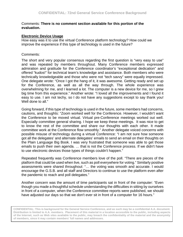## Comments: **There is no comment section available for this portion of the evaluation.**

# **Electronic Device Usage**

How easy was it to use the virtual Conference platform technology? How could we improve the experience if this type of technology is used in the future?

# Comments:

The short and very popular consensus regarding the first question is "very easy to use" and was repeated by members throughout. Many Conference members expressed admiration and gratitude for the Conference coordinator's "exceptional dedication" and offered "kudos!" for technical team's knowledge and assistance. Both members who were technically knowledgeable and those who were not "tech savvy" were equally impressed. One delegate wrote: "Once I got the hang of it, it was awesome. Getting ready and set up for the Conference, as well as all the way through. The whole experience was overwhelming for me, and I learned a lot. The computer is a new device for me, so I grew big time from this experience." Another wrote: "I loved all the improvements and I found it easy to use. I am not techy, so I do not have any suggestions except to say thank you! Well done to all."

Going forward, if this type of technology is used in the future, some members had concerns, cautions, and thoughts: "Zoom worked well for the Conference. However, I wouldn't want the Conference to be moved virtual. Virtual pre-Conference meetings worked out well. Especially committee general sharing. I hope we keep these meetings. It was nice to get to know the rest of the committee and share our thoughts with each other. It made committee work at the Conference flow smoothly." Another delegate voiced concerns with possible misuse of technology during a virtual Conference: "I am not sure how someone got all the delegates' and alternate delegates' emails to send an email on their thoughts on the Plain Language Big Book. I was very frustrated that someone was able to get those emails to push their own agenda. … that is not the Conference process. If we didn't have to use electronic devices those types of things couldn't happen."

Repeated frequently was Conference members love of the poll. "There are pieces of the platform that could be used when live, such as poll everywhere for voting." Similarly positive assessments were shared throughout: "… the voting was smooth and accurate. I would encourage the G.S.B. and all staff and Directors to continue to use the platform even after the pandemic to reach and poll delegates."

Another concern was the amount of time participants sat in front of the computer: "Even though you made a thoughtful schedule understanding the difficulties in sitting by ourselves in front of a computer, when the Conference committee reports were published, we should have adjusted our days so that we don't ever sit in front of a computer for 16 hours."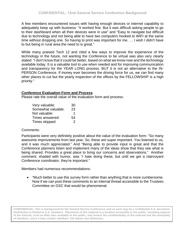A few members encountered issues with having enough devices or internet capability to adequately keep up with business: "It worked fine. But it was difficult asking people to go to their dashboard when all their devices were in use" and "Easy to navigate but difficult due to technology and not being able to have two computers hooked to WIFI at the same time without dropping one. So having to print was important for me. … I wish I didn't have to but being in rural area the need to is great."

While many praised Tech 12 and cited a few ways to improve the experience of the technology in the future, not wanting the Conference to be virtual was also very clearly stated: "I don't know that it could be better, based on what we know now and the technology available today. It is a valuable tool to use when needed and for improving communication and transparency for the YEAR LONG process. BUT it is not an alternative to the IN-PERSON Conference. If money ever becomes the driving force for us, we can find many other places to cut but the yearly inspection of the offices by the FELLOWSHIP is a high priority."

# **Conference Evaluation Form and Process**

Please rate the overall value of the evaluation form and process:

| Very valuable:     | 30 |
|--------------------|----|
| Somewhat valuable: | 23 |
| Not valuable:      | 1  |
| Times answered:    | 54 |
| Times skipped:     | 2  |

## Comments:

Participants were very definitely positive about the value of the evaluation form: "So many awesome improvements from last year. So, these are super important. You listened to us, and it was much appreciated." And "Being able to provide input is great and that the Conference planners listen and implement many of the ideas show that they see what is being shared. Provides a great place to bring our concerns and observations." Another comment, shaded with humor, was "I hate doing these, but until we get a clairvoyant Conference coordinator, they're important."

Members had numerous recommendations:

• "Much better to use this survey form rather than anything that is more cumbersome. Now if we can post these comments to an internal thread accessible to the Trustees Committee on GSC that would be phenomenal.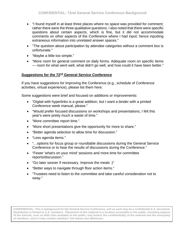- "I found myself in at least three places where no space was provided for comment; rather there were the three qualitative questions. I also noted that there were specific questions about certain aspects, which is fine, but it did not accommodate comments on other aspects of the Conference where I had input; hence inputting extraneous information into unrelated answer spaces."
- "The question about participation by attendee categories without a comment box is unfortunate."
- "Maybe a little too simple."
- "More room for general comment on daily forms. Adequate room on specific items — room for what went well, what didn't go well, and how could it have been better."

# **Suggestions for the 72nd General Service Conference**

If you have suggestions for improving the Conference (e.g., schedule of Conference activities, virtual experience), please list them here:

Some suggestions were brief and focused on additions or improvements:

- "Digital with hyperlinks is a great addition, but I want a binder with a printed Conference week manual, please."
- "Would prefer focused discussions on workshops and presentations, I felt this year's were pretty much a waste of time."
- "More committee report time."
- "More short presentations give the opportunity for more to share."
- "Better agenda selection to allow time for discussion."
- "Less agenda items."
- "…options for focus group or roundtable discussions during the General Service Conference or to hear the results of discussions during the Conference."
- "Fewer 'what's on your mind' sessions and more time for committee reports/discussion."
- "Go later sooner if necessary. Improve the meals :)"
- "Better ways to navigate through floor action items."
- "Trustees need to listen to the committee and take careful consideration not to sway."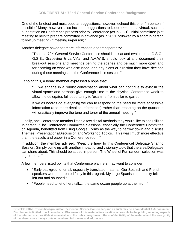One of the briefest and most popular suggestions, however, echoed this one: "In person if possible." Many, however, also included suggestions to keep *some* items virtual, such as "Orientation on Conference process prior to Conference (as in 2021), initial committee joint meeting to help to prepare committee in advance (as in 2021) followed by a short in-person follow up meeting (if meeting in-person)."

Another delegate asked for more information and transparency:

"That the 72nd General Service Conference should look at and evaluate the G.S.O., G.S.B., Grapevine & La Viña, and A.A.W.S. should look at and document their breakout sessions and meetings behind the scenes and be much more open and forthcoming on what was discussed, and any plans or direction they have decided during those meetings, as the Conference is in session."

Echoing this, a board member expressed a hope that:

"… we engage in a robust conversation about what can continue to exist in the virtual space and perhaps give enough time to the physical Conference week to allow the delegates full opportunity to 'examine from cellar to garret.'

If we as boards do everything we can to respond to the need for more accessible information (and more detailed information) rather than reporting on the quarter, it will drastically improve the tone and tenor of the annual meeting."

Finally, one Conference member listed a few digital methods they would like to see utilized in-person: "The Conference Committee Sessions, especially the Conference Committee on Agenda, benefitted from using Google Forms as the way to narrow down and discuss Themes, Presentations/Discussion and Workshop Topics. [This was] much more effective than the easels and paper in a Conference room."

In addition, the member advised, "Keep the [new to this Conference] Delegate Sharing Session. Simply come up with another impactful and visionary topic that the area Delegates can share about. This should be added in-person. The Wheel of Fun random selection was a great idea."

A few members listed points that Conference planners may want to consider:

- "Early background for all, especially translated material. Our Spanish and French speakers were not treated fairly in this regard. My large Spanish community felt left out and shunned."
- "People need to let others talk… the same dozen people up at the mic…"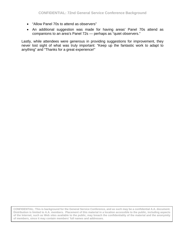- "Allow Panel 70s to attend as observers"
- An additional suggestion was made for having areas' Panel 70s attend as companions to an area's Panel 72s — perhaps as "quiet observers."

Lastly, while attendees were generous in providing suggestions for improvement, they never lost sight of what was truly important: "Keep up the fantastic work to adapt to anything" and "Thanks for a great experience!"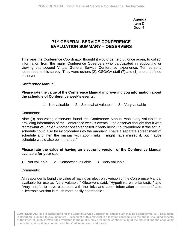**Agenda Item D Doc. 4**

# **71st GENERAL SERVICE CONFERENCE EVALUATION SUMMARY – OBSERVERS**

This year the Conference Coordinator thought it would be helpful, once again, to collect information from the many Conference Observers who participated in supporting or viewing this second Virtual General Service Conference experience. Ten persons responded to this survey. They were ushers (2), GSO/GV staff (7) and (1) one undefined observer.

# **Conference Manual**

# **Please rate the value of the Conference Manual in providing you information about the schedule of Conference week's events:**

1 – Not valuable 2 – Somewhat valuable 3 – Very valuable

Comments:

Nine (9) non-voting observers found the Conference Manual was "very valuable" in providing information of the Conference week's events. One observer thought that it was "somewhat valuable." Another observer called it "Very helpful" but wondered if "the actual schedule could also be incorporated into the manual? I have a separate spreadsheet of schedule and then the manual with Zoom links. I might have missed it, but maybe schedule would also be in manual."

## **Please rate the value of having an electronic version of the Conference Manual available for your use:**

1 – Not valuable 2 – Somewhat valuable 3 – Very valuable

Comments:

All respondents found the value of having an electronic version of the Conference Manual available for use as "very valuable." Observers said, "Hyperlinks were fantastic!" and "Very helpful to have electronic with the links and zoom information embedded" and "Electronic version is much more easily searchable."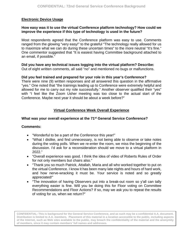# **Electronic Device Usage**

# **How easy was it to use the virtual Conference platform technology? How could we improve the experience if this type of technology is used in the future?**

Most respondents agreed that the Conference platform was easy to use. Comments ranged from the glowing "very easy!" to the grateful "The technology really allowed for us to maximize what we can do during these uncertain times" to the more neutral "It's fine." One commentor suggested that "It is easiest having Committee background attached to an email, if possible."

# **Did you have any technical issues logging into the virtual platform? Describe:**

Out of eight written comments, all said "no" and mentioned no bugs or malfunctions.

# **Did you feel trained and prepared for your role in this year's Conference?**

There were nine (9) written responses and all answered this question in the affirmative "yes." One noted that "the trainings leading up to Conference were extremely helpful and allowed for me to carry out my role successfully." Another observer qualified their "yes" with "I feel like the Zoom Usher meeting was too close to the actual start of the Conference. Maybe next year it should be about a week before?"

# **Virtual Conference Week Overall Experience**

# **What was your overall experience at the 71st General Service Conference?**

# **Comments:**

- "Wonderful to be a part of the Conference this year!"
- "What I dislike, and find unnecessary, is not being able to observe or take notes during the voting polls. When we re-enter the room, we miss the beginning of the discussion. I'd ask for a reconsideration should we move to a virtual platform in 2022."
- "Overall experience was good. I think the idea of video of Roberts Rules of Order for not only members but chairs also."
- "Thank you so much Patrick, Attallah, Maria and all who worked together to put on the virtual Conference. I know it has been many late nights and hours of hard work, and how nerve-wracking it must be. Your service is noted and so greatly appreciated!"
- "The innovation of having Observers put into a break-out room so y'all can tally everything easier is fine. Will you be doing this for Floor voting on Committee Recommendations and Floor Actions? If so, may we ask you to repeat the results of voting for us, when we return?"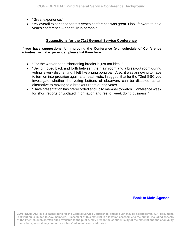- "Great experience."
- "My overall experience for this year's conference was great. I look forward to next year's conference – hopefully in person."

# **Suggestions for the 71st General Service Conference**

#### **If you have suggestions for improving the Conference (e.g. schedule of Conference activities, virtual experience), please list them here:**

- "For the worker bees, shortening breaks is just not ideal."
- "Being moved back and forth between the main room and a breakout room during voting is very disorienting. I felt like a ping pong ball. Also, it was annoying to have to turn on interpretation again after each vote. I suggest that for the 72nd GSC you investigate whether the voting buttons of observers can be disabled as an alternative to moving to a breakout room during votes."
- "Have presentation has prerecorded and up to member to watch. Conference week for short reports or updated information and rest of week doing business."

## **[Back to Main Agenda](#page-1-0)**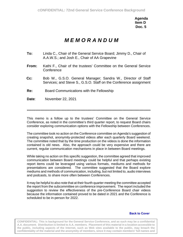**Agenda Item D Doc. 5**

# *M E M O R A N D U M*

- **To:** Linda C., Chair of the General Service Board; Jimmy D., Chair of A.A.W.S.; and Josh E., Chair of AA Grapevine
- **From:** Kathi F., Chair of the trustees' Committee on the General Service **Conference**
- **Cc:** Bob W., G.S.O. General Manager; Sandra W., Director of Staff Services; and Steve S., G.S.O. Staff on the Conference assignment
- **Re:** Board Communications with the Fellowship
- **Date**: November 22, 2021

\*\*\*\*\*\*\*\*\*\*\*\*\*\*\*\*\*\*\*\*\*\*\*\*\*\*\*\*\*\*\*\*\*\*\*\*\*\*\*\*\*\*\*\*\*\*\*\*\*\*\*\*\*\*\*\*\*\*\*\*\*\*\*\*\*\*\*\*\*\*\*\*\*\*\*\*\*\*\*\*\*\*\*\*\*\*\*\*\*\*\*\*\*\*\*\*\*\*\*\*

This memo is a follow up to the trustees' Committee on the General Service Conference, as noted in the committee's third quarter report, to request Board chairs consider exploring communication options with the Fellowship between Conferences.

The committee took no action on the Conference committee on Agenda's suggestion of creating snapshot, anonymity-protected videos after each quarterly Board weekend. The committee noted that by the time production on the videos is done the information contained is old news. Also, the approach could be very expensive and there are current, regular communication mechanisms in place in between Board meetings.

While taking no action on this specific suggestion, the committee agreed that improved communication between Board meetings could be helpful and that perhaps existing report items could be leveraged using various formats, mediums and methods for presentations are considered. The committee suggested that the Board explore mediums and methods of communication, including, but not limited to, audio interviews and podcasts, to share more often between Conferences.

It may be helpful to also note that at their fourth quarter meeting the committee accepted the report from the subcommittee on conference improvement. The report included the suggestion to review the effectiveness of the pre-Conference Board chair videos because the information contained proved to be dated in 2021 and the Conference is scheduled to be in-person for 2022.

#### **[Back to Cover](#page-24-0)**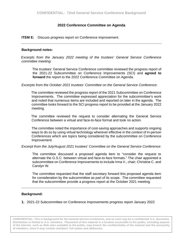# **2022 Conference Committee on Agenda**

<span id="page-81-0"></span>**ITEM E:** Discuss progress report on Conference improvement.

#### **Background notes:**

*Excerpts from the January 2022 meeting of the trustees' General Service Conference committee meeting:* 

The trustees' General Service Conference committee reviewed the progress report of the 2021-22 Subcommittee on Conference Improvements (SCI) and **agreed to forward** the report to the 2022 Conference Committee on Agenda.

*Excerpts from the October 2021 trustees' Committee on the General Service Conference:*

The committee reviewed the progress report of the 2021 Subcommittee on Conference Improvements. The committee expressed appreciation for the subcommittee's work and noted that numerous items are included and reported on later in the agenda. The committee looks forward to the SCI progress report to be provided at the January 2022 meeting.

The committee reviewed the request to consider alternating the General Service Conference between a virtual and face-to-face format and took no action.

The committee noted the importance of cost-saving approaches and supports ongoing ways to do so by using virtual technology wherever effective in the context of in-person Conferences which are topics being considered by the subcommittee on Conference Improvement.

*Excerpt from the July/August 2021 trustees' Committee on the General Service Conference:*

The committee discussed a proposed agenda item to "consider the request to alternate the G.S.C. between virtual and face-to-face formats." The chair appointed a subcommittee on Conference Improvements to include Irma V., chair; Christine C. and Carolyn W.

The committee requested that the staff secretary forward this proposed agenda item for consideration by the subcommittee as part of its scope. The committee requested that the subcommittee provide a progress report at the October 2021 meeting.

#### **Background:**

**1.** 2021-22 Subcommittee on Conference Improvements progress report January 2022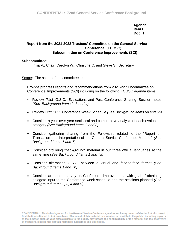**Agenda Item E Doc. 1**

# **Report from the 2021-2022 Trustees' Committee on the General Service Conference (TCGSC) Subcommittee on Conference Improvements (SCI)**

#### **Subcommittee:**

Irma V., Chair; Carolyn W., Christine C. and Steve S., Secretary

Scope: The scope of the committee is:

Provide progress reports and recommendations from 2021-22 Subcommittee on Conference Improvements (SCI) including on the following TCGSC agenda items:

- Review 71st G.S.C. Evaluations and Post Conference Sharing Session notes *(See Background Items 2, 3 and 4)*
- Review Draft 2022 Conference Week Schedule *(See Background Items 6a and 6b)*
- Consider a year-over-year statistical and comparative analysis of each evaluation category *(See Background Items 2 and 3)*
- Consider gathering sharing from the Fellowship related to the "Report on Translation and Interpretation of the General Service Conference Material" *(See Background Items 1 and 7)*
- Consider providing "background" material in our three official languages at the same time *(See Background Items 1 and 7a)*
- Consider alternating G.S.C. between a virtual and face-to-face format *(See Background Items 1 and 7b)*
- Consider an annual survey on Conference improvements with goal of obtaining delegate input to the Conference week schedule and the sessions planned *(See Background Items 2, 3, 4 and 5)*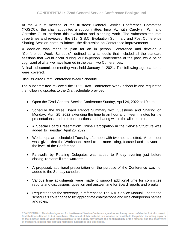At the August meeting of the trustees' General Service Conference Committee (TGSCC), the chair appointed a subcommittee, Irma V., with Carolyn W. and Christine C. to perform this evaluation and planning work. The subcommittee met three times and reviewed the 71st G.S.C. Evaluation Summary and Post Conference Sharing Session notes to inform the discussion on Conference improvements.

A decision was made to plan for an in person Conference and develop a "Conference Week Schedule", defined as a schedule that included all the standard sessions that would occur during our in-person Conferences of the past, while being cognizant of what we have learned in the past two Conferences.

A final subcommittee meeting was held January 4, 2021. The following agenda items were covered:

## Discuss 2022 Draft Conference Week Schedule

The subcommittee reviewed the 2022 Draft Conference Week schedule and requested the following updates to the Draft schedule provided:

- Open the 72nd General Service Conference Sunday, April 24, 2022 at 10 a.m.
- Schedule the three Board Report Summary with Questions and Sharing on Monday, April 25, 2022 extending the time to an hour and fifteen minutes for the presentations and time for questions and sharing within the allotted time.
- A Special Board Presentation: Online Participation in the Service Structure was added to Tuesday, April 26, 2022.
- Workshops are scheduled Tuesday afternoon with two hours allotted. A reminder was given that the Workshops need to be more fitting, focused and relevant to the level of the Conference.
- Farewells by Rotating Delegates was added to Friday evening just before closing remarks if time warrants.
- A proposed, additional presentation on the purpose of the Conference was not added to the Sunday schedule.
- Various time adjustments were made to support additional time for committee reports and discussions, question and answer time for Board reports and breaks.
- Requested that the secretary, in reference to The A.A. Service Manual, update the schedule's cover page to list appropriate chairpersons and vice chairperson names and roles.